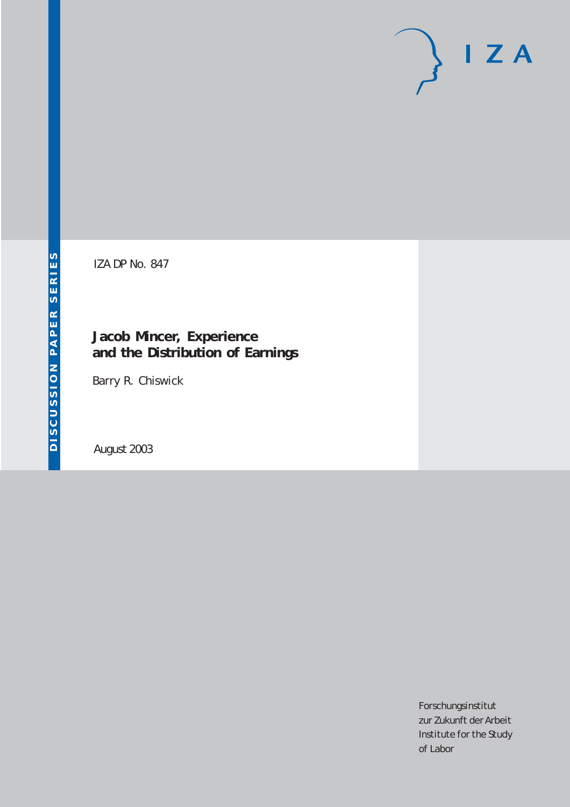# $I Z A$

IZA DP No. 847

## **Jacob Mincer, Experience and the Distribution of Earnings**

Barry R. Chiswick

August 2003

Forschungsinstitut zur Zukunft der Arbeit Institute for the Study of Labor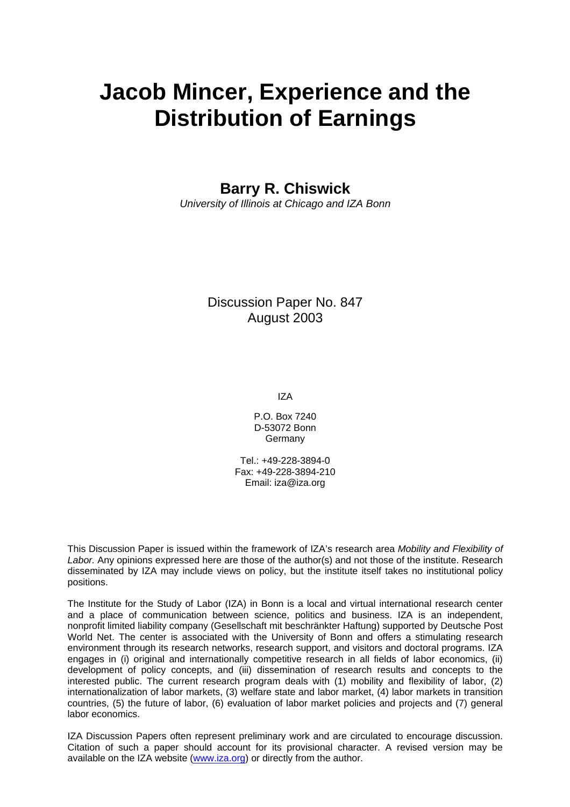# **Jacob Mincer, Experience and the Distribution of Earnings**

**Barry R. Chiswick** 

*University of Illinois at Chicago and IZA Bonn* 

Discussion Paper No. 847 August 2003

IZA

P.O. Box 7240 D-53072 Bonn Germany

Tel.: +49-228-3894-0 Fax: +49-228-3894-210 Email: [iza@iza.org](mailto:iza@iza.org)

This Discussion Paper is issued within the framework of IZA's research area *Mobility and Flexibility of Labor.* Any opinions expressed here are those of the author(s) and not those of the institute. Research disseminated by IZA may include views on policy, but the institute itself takes no institutional policy positions.

The Institute for the Study of Labor (IZA) in Bonn is a local and virtual international research center and a place of communication between science, politics and business. IZA is an independent, nonprofit limited liability company (Gesellschaft mit beschränkter Haftung) supported by Deutsche Post World Net. The center is associated with the University of Bonn and offers a stimulating research environment through its research networks, research support, and visitors and doctoral programs. IZA engages in (i) original and internationally competitive research in all fields of labor economics, (ii) development of policy concepts, and (iii) dissemination of research results and concepts to the interested public. The current research program deals with (1) mobility and flexibility of labor, (2) internationalization of labor markets, (3) welfare state and labor market, (4) labor markets in transition countries, (5) the future of labor, (6) evaluation of labor market policies and projects and (7) general labor economics.

IZA Discussion Papers often represent preliminary work and are circulated to encourage discussion. Citation of such a paper should account for its provisional character. A revised version may be available on the IZA website ([www.iza.org](http://www.iza.org/)) or directly from the author.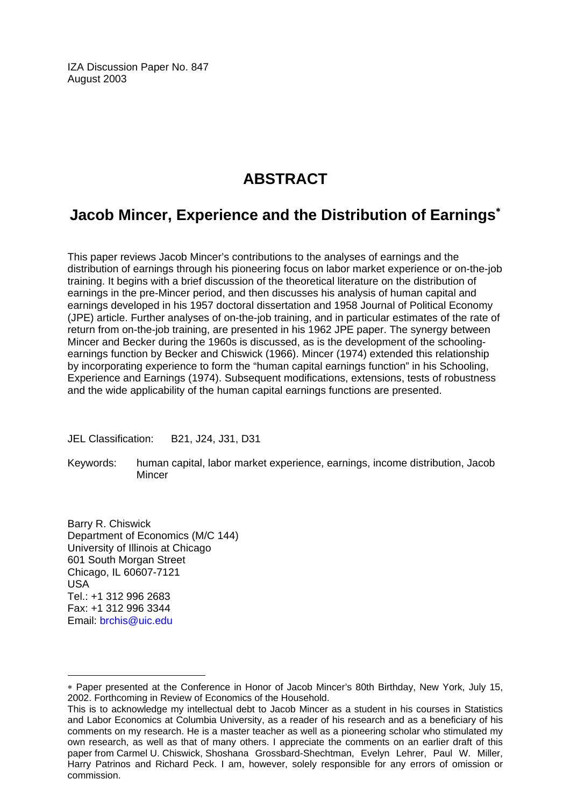IZA Discussion Paper No. 847 August 2003

## **ABSTRACT**

### **Jacob Mincer, Experience and the Distribution of Earnings**[∗](#page-2-0)

This paper reviews Jacob Mincer's contributions to the analyses of earnings and the distribution of earnings through his pioneering focus on labor market experience or on-the-job training. It begins with a brief discussion of the theoretical literature on the distribution of earnings in the pre-Mincer period, and then discusses his analysis of human capital and earnings developed in his 1957 doctoral dissertation and 1958 Journal of Political Economy (JPE) article. Further analyses of on-the-job training, and in particular estimates of the rate of return from on-the-job training, are presented in his 1962 JPE paper. The synergy between Mincer and Becker during the 1960s is discussed, as is the development of the schoolingearnings function by Becker and Chiswick (1966). Mincer (1974) extended this relationship by incorporating experience to form the "human capital earnings function" in his Schooling, Experience and Earnings (1974). Subsequent modifications, extensions, tests of robustness and the wide applicability of the human capital earnings functions are presented.

JEL Classification: B21, J24, J31, D31

Keywords: human capital, labor market experience, earnings, income distribution, Jacob **Mincer** 

Barry R. Chiswick Department of Economics (M/C 144) University of Illinois at Chicago 601 South Morgan Street Chicago, IL 60607-7121 USA Tel.: +1 312 996 2683 Fax: +1 312 996 3344 Email: [brchis@uic.edu](mailto:brchis@uic.edu)

<span id="page-2-0"></span><sup>∗</sup> Paper presented at the Conference in Honor of Jacob Mincer's 80th Birthday, New York, July 15, 2002. Forthcoming in Review of Economics of the Household.

This is to acknowledge my intellectual debt to Jacob Mincer as a student in his courses in Statistics and Labor Economics at Columbia University, as a reader of his research and as a beneficiary of his comments on my research. He is a master teacher as well as a pioneering scholar who stimulated my own research, as well as that of many others. I appreciate the comments on an earlier draft of this paper from Carmel U. Chiswick, Shoshana Grossbard-Shechtman, Evelyn Lehrer, Paul W. Miller, Harry Patrinos and Richard Peck. I am, however, solely responsible for any errors of omission or commission.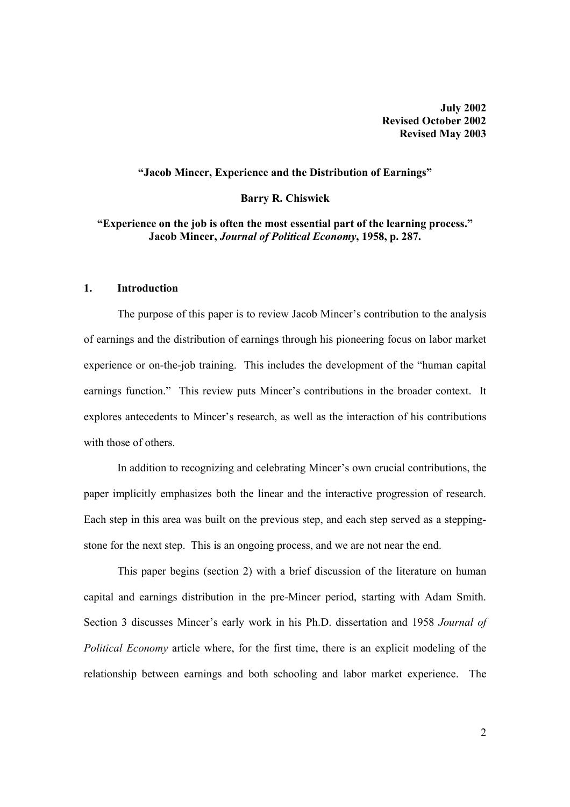**July 2002 Revised October 2002 Revised May 2003** 

#### **"Jacob Mincer, Experience and the Distribution of Earnings"**

#### **Barry R. Chiswick**

#### **"Experience on the job is often the most essential part of the learning process." Jacob Mincer,** *Journal of Political Economy***, 1958, p. 287.**

#### **1. Introduction**

 The purpose of this paper is to review Jacob Mincer's contribution to the analysis of earnings and the distribution of earnings through his pioneering focus on labor market experience or on-the-job training. This includes the development of the "human capital earnings function." This review puts Mincer's contributions in the broader context. It explores antecedents to Mincer's research, as well as the interaction of his contributions with those of others.

 In addition to recognizing and celebrating Mincer's own crucial contributions, the paper implicitly emphasizes both the linear and the interactive progression of research. Each step in this area was built on the previous step, and each step served as a steppingstone for the next step. This is an ongoing process, and we are not near the end.

 This paper begins (section 2) with a brief discussion of the literature on human capital and earnings distribution in the pre-Mincer period, starting with Adam Smith. Section 3 discusses Mincer's early work in his Ph.D. dissertation and 1958 *Journal of Political Economy* article where, for the first time, there is an explicit modeling of the relationship between earnings and both schooling and labor market experience. The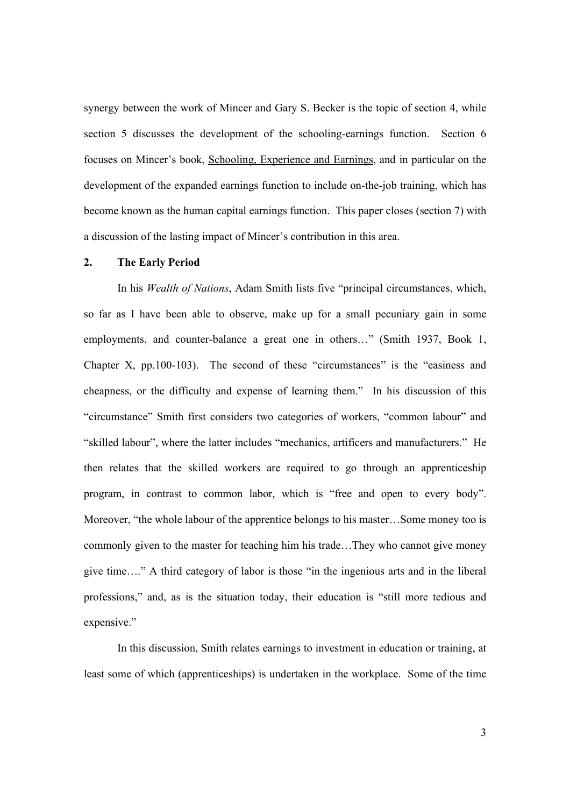synergy between the work of Mincer and Gary S. Becker is the topic of section 4, while section 5 discusses the development of the schooling-earnings function. Section 6 focuses on Mincer's book, Schooling, Experience and Earnings, and in particular on the development of the expanded earnings function to include on-the-job training, which has become known as the human capital earnings function. This paper closes (section 7) with a discussion of the lasting impact of Mincer's contribution in this area.

#### **2. The Early Period**

In his *Wealth of Nations*, Adam Smith lists five "principal circumstances, which, so far as I have been able to observe, make up for a small pecuniary gain in some employments, and counter-balance a great one in others…" (Smith 1937, Book 1, Chapter X, pp.100-103). The second of these "circumstances" is the "easiness and cheapness, or the difficulty and expense of learning them." In his discussion of this "circumstance" Smith first considers two categories of workers, "common labour" and "skilled labour", where the latter includes "mechanics, artificers and manufacturers." He then relates that the skilled workers are required to go through an apprenticeship program, in contrast to common labor, which is "free and open to every body". Moreover, "the whole labour of the apprentice belongs to his master…Some money too is commonly given to the master for teaching him his trade…They who cannot give money give time…." A third category of labor is those "in the ingenious arts and in the liberal professions," and, as is the situation today, their education is "still more tedious and expensive."

 In this discussion, Smith relates earnings to investment in education or training, at least some of which (apprenticeships) is undertaken in the workplace. Some of the time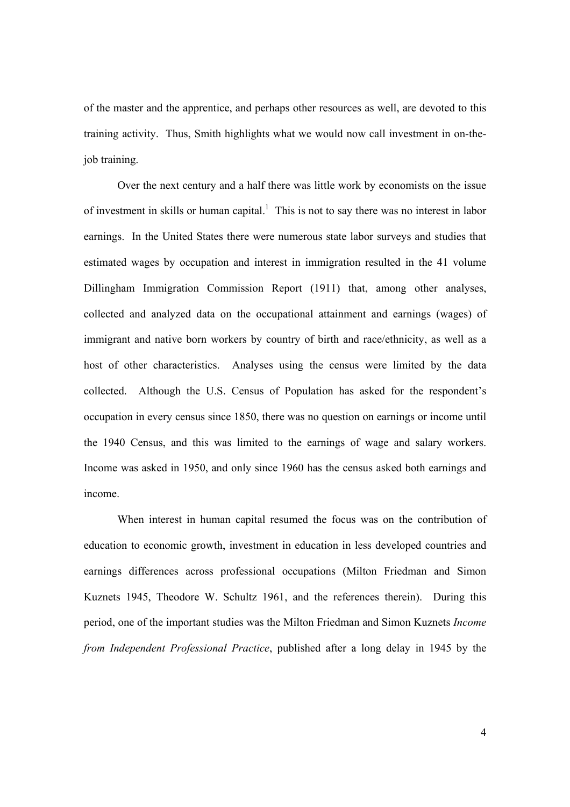of the master and the apprentice, and perhaps other resources as well, are devoted to this training activity. Thus, Smith highlights what we would now call investment in on-thejob training.

 Over the next century and a half there was little work by economists on the issue of investment in skills or human capital.<sup>1</sup> This is not to say there was no interest in labor earnings. In the United States there were numerous state labor surveys and studies that estimated wages by occupation and interest in immigration resulted in the 41 volume Dillingham Immigration Commission Report (1911) that, among other analyses, collected and analyzed data on the occupational attainment and earnings (wages) of immigrant and native born workers by country of birth and race/ethnicity, as well as a host of other characteristics. Analyses using the census were limited by the data collected. Although the U.S. Census of Population has asked for the respondent's occupation in every census since 1850, there was no question on earnings or income until the 1940 Census, and this was limited to the earnings of wage and salary workers. Income was asked in 1950, and only since 1960 has the census asked both earnings and income.

 When interest in human capital resumed the focus was on the contribution of education to economic growth, investment in education in less developed countries and earnings differences across professional occupations (Milton Friedman and Simon Kuznets 1945, Theodore W. Schultz 1961, and the references therein). During this period, one of the important studies was the Milton Friedman and Simon Kuznets *Income from Independent Professional Practice*, published after a long delay in 1945 by the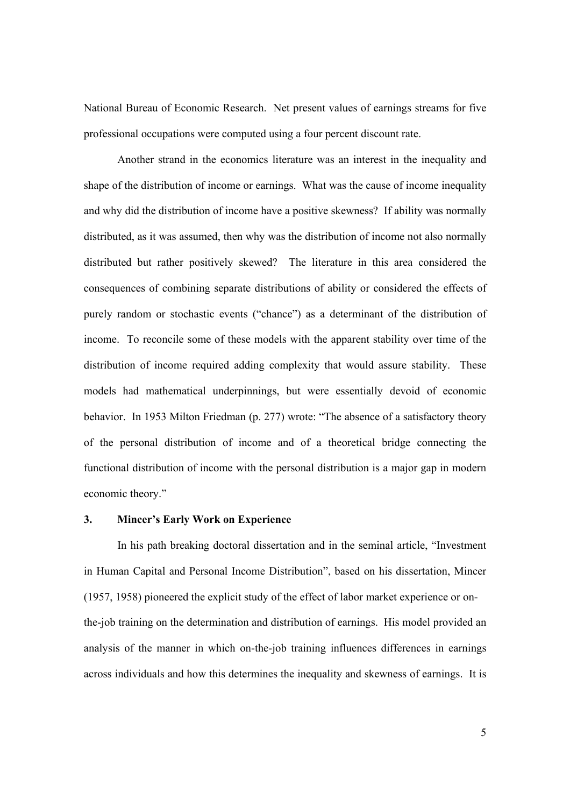National Bureau of Economic Research. Net present values of earnings streams for five professional occupations were computed using a four percent discount rate.

 Another strand in the economics literature was an interest in the inequality and shape of the distribution of income or earnings. What was the cause of income inequality and why did the distribution of income have a positive skewness? If ability was normally distributed, as it was assumed, then why was the distribution of income not also normally distributed but rather positively skewed? The literature in this area considered the consequences of combining separate distributions of ability or considered the effects of purely random or stochastic events ("chance") as a determinant of the distribution of income. To reconcile some of these models with the apparent stability over time of the distribution of income required adding complexity that would assure stability. These models had mathematical underpinnings, but were essentially devoid of economic behavior. In 1953 Milton Friedman (p. 277) wrote: "The absence of a satisfactory theory of the personal distribution of income and of a theoretical bridge connecting the functional distribution of income with the personal distribution is a major gap in modern economic theory."

#### **3. Mincer's Early Work on Experience**

 In his path breaking doctoral dissertation and in the seminal article, "Investment in Human Capital and Personal Income Distribution", based on his dissertation, Mincer (1957, 1958) pioneered the explicit study of the effect of labor market experience or onthe-job training on the determination and distribution of earnings. His model provided an analysis of the manner in which on-the-job training influences differences in earnings across individuals and how this determines the inequality and skewness of earnings. It is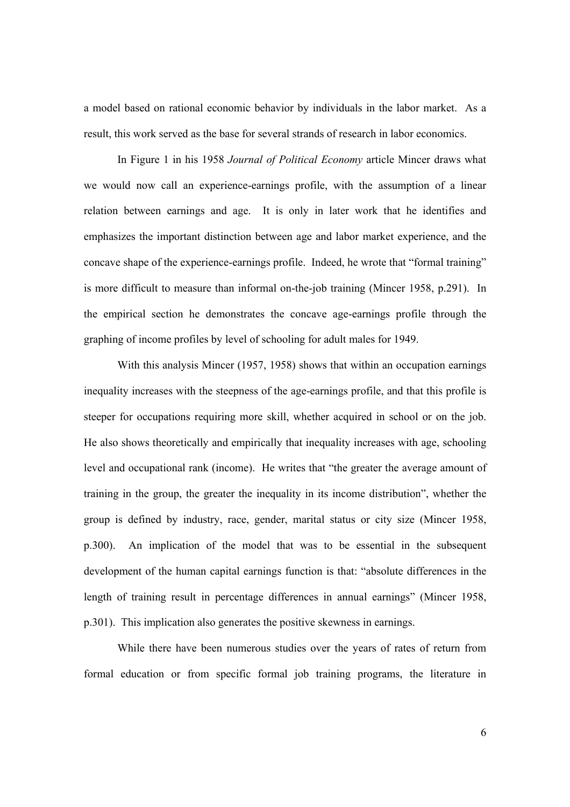a model based on rational economic behavior by individuals in the labor market. As a result, this work served as the base for several strands of research in labor economics.

 In Figure 1 in his 1958 *Journal of Political Economy* article Mincer draws what we would now call an experience-earnings profile, with the assumption of a linear relation between earnings and age. It is only in later work that he identifies and emphasizes the important distinction between age and labor market experience, and the concave shape of the experience-earnings profile. Indeed, he wrote that "formal training" is more difficult to measure than informal on-the-job training (Mincer 1958, p.291). In the empirical section he demonstrates the concave age-earnings profile through the graphing of income profiles by level of schooling for adult males for 1949.

 With this analysis Mincer (1957, 1958) shows that within an occupation earnings inequality increases with the steepness of the age-earnings profile, and that this profile is steeper for occupations requiring more skill, whether acquired in school or on the job. He also shows theoretically and empirically that inequality increases with age, schooling level and occupational rank (income). He writes that "the greater the average amount of training in the group, the greater the inequality in its income distribution", whether the group is defined by industry, race, gender, marital status or city size (Mincer 1958, p.300). An implication of the model that was to be essential in the subsequent development of the human capital earnings function is that: "absolute differences in the length of training result in percentage differences in annual earnings" (Mincer 1958, p.301). This implication also generates the positive skewness in earnings.

While there have been numerous studies over the years of rates of return from formal education or from specific formal job training programs, the literature in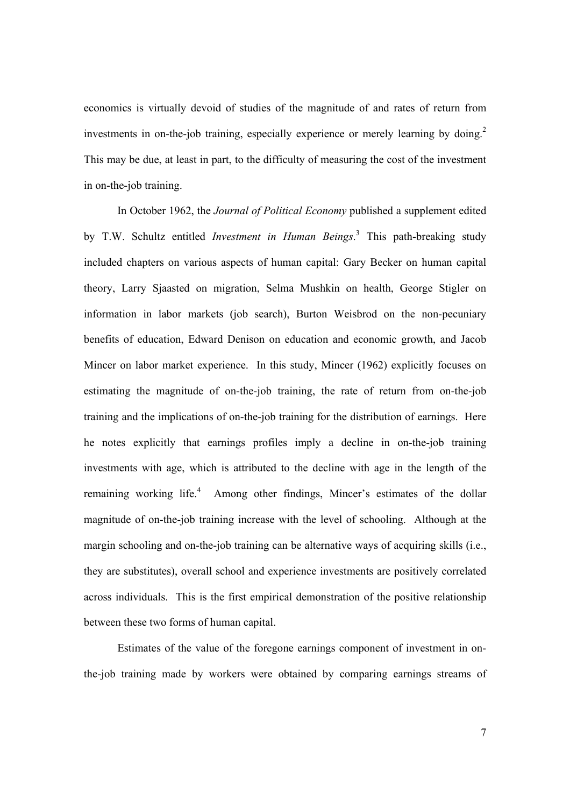economics is virtually devoid of studies of the magnitude of and rates of return from investments in on-the-job training, especially experience or merely learning by doing.<sup>2</sup> This may be due, at least in part, to the difficulty of measuring the cost of the investment in on-the-job training.

 In October 1962, the *Journal of Political Economy* published a supplement edited by T.W. Schultz entitled *Investment in Human Beings*. 3 This path-breaking study included chapters on various aspects of human capital: Gary Becker on human capital theory, Larry Sjaasted on migration, Selma Mushkin on health, George Stigler on information in labor markets (job search), Burton Weisbrod on the non-pecuniary benefits of education, Edward Denison on education and economic growth, and Jacob Mincer on labor market experience. In this study, Mincer (1962) explicitly focuses on estimating the magnitude of on-the-job training, the rate of return from on-the-job training and the implications of on-the-job training for the distribution of earnings. Here he notes explicitly that earnings profiles imply a decline in on-the-job training investments with age, which is attributed to the decline with age in the length of the remaining working life.<sup>4</sup> Among other findings, Mincer's estimates of the dollar magnitude of on-the-job training increase with the level of schooling. Although at the margin schooling and on-the-job training can be alternative ways of acquiring skills (i.e., they are substitutes), overall school and experience investments are positively correlated across individuals. This is the first empirical demonstration of the positive relationship between these two forms of human capital.

 Estimates of the value of the foregone earnings component of investment in onthe-job training made by workers were obtained by comparing earnings streams of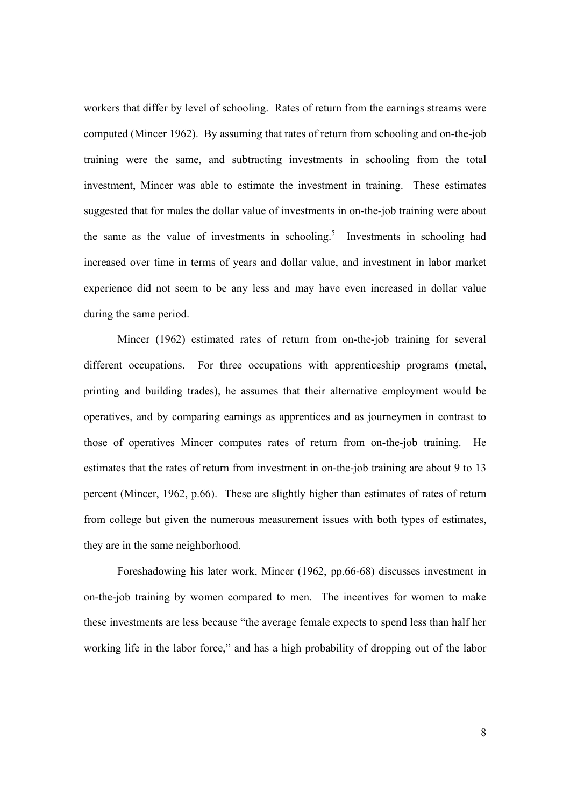workers that differ by level of schooling. Rates of return from the earnings streams were computed (Mincer 1962). By assuming that rates of return from schooling and on-the-job training were the same, and subtracting investments in schooling from the total investment, Mincer was able to estimate the investment in training. These estimates suggested that for males the dollar value of investments in on-the-job training were about the same as the value of investments in schooling.<sup>5</sup> Investments in schooling had increased over time in terms of years and dollar value, and investment in labor market experience did not seem to be any less and may have even increased in dollar value during the same period.

 Mincer (1962) estimated rates of return from on-the-job training for several different occupations. For three occupations with apprenticeship programs (metal, printing and building trades), he assumes that their alternative employment would be operatives, and by comparing earnings as apprentices and as journeymen in contrast to those of operatives Mincer computes rates of return from on-the-job training. He estimates that the rates of return from investment in on-the-job training are about 9 to 13 percent (Mincer, 1962, p.66). These are slightly higher than estimates of rates of return from college but given the numerous measurement issues with both types of estimates, they are in the same neighborhood.

Foreshadowing his later work, Mincer (1962, pp.66-68) discusses investment in on-the-job training by women compared to men. The incentives for women to make these investments are less because "the average female expects to spend less than half her working life in the labor force," and has a high probability of dropping out of the labor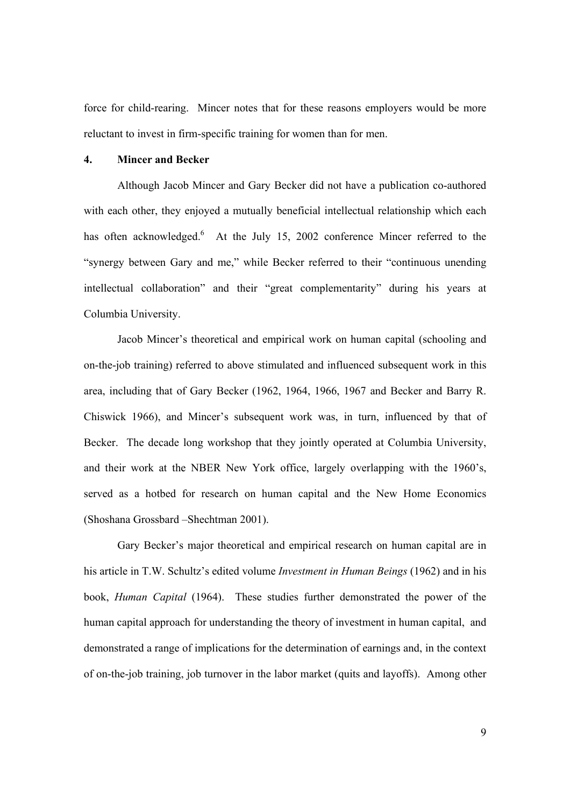force for child-rearing. Mincer notes that for these reasons employers would be more reluctant to invest in firm-specific training for women than for men.

#### **4. Mincer and Becker**

 Although Jacob Mincer and Gary Becker did not have a publication co-authored with each other, they enjoyed a mutually beneficial intellectual relationship which each has often acknowledged.<sup>6</sup> At the July 15, 2002 conference Mincer referred to the "synergy between Gary and me," while Becker referred to their "continuous unending intellectual collaboration" and their "great complementarity" during his years at Columbia University.

Jacob Mincer's theoretical and empirical work on human capital (schooling and on-the-job training) referred to above stimulated and influenced subsequent work in this area, including that of Gary Becker (1962, 1964, 1966, 1967 and Becker and Barry R. Chiswick 1966), and Mincer's subsequent work was, in turn, influenced by that of Becker. The decade long workshop that they jointly operated at Columbia University, and their work at the NBER New York office, largely overlapping with the 1960's, served as a hotbed for research on human capital and the New Home Economics (Shoshana Grossbard –Shechtman 2001).

Gary Becker's major theoretical and empirical research on human capital are in his article in T.W. Schultz's edited volume *Investment in Human Beings* (1962) and in his book, *Human Capital* (1964). These studies further demonstrated the power of the human capital approach for understanding the theory of investment in human capital, and demonstrated a range of implications for the determination of earnings and, in the context of on-the-job training, job turnover in the labor market (quits and layoffs). Among other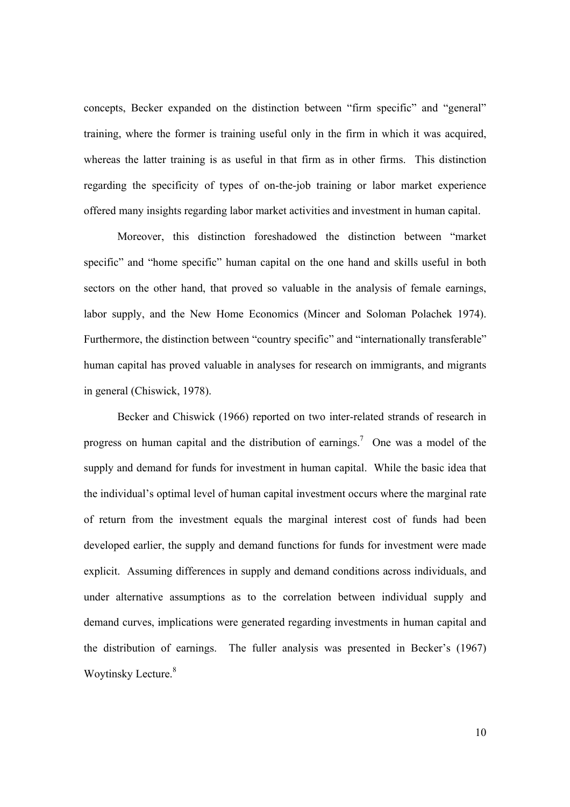concepts, Becker expanded on the distinction between "firm specific" and "general" training, where the former is training useful only in the firm in which it was acquired, whereas the latter training is as useful in that firm as in other firms. This distinction regarding the specificity of types of on-the-job training or labor market experience offered many insights regarding labor market activities and investment in human capital.

 Moreover, this distinction foreshadowed the distinction between "market specific" and "home specific" human capital on the one hand and skills useful in both sectors on the other hand, that proved so valuable in the analysis of female earnings, labor supply, and the New Home Economics (Mincer and Soloman Polachek 1974). Furthermore, the distinction between "country specific" and "internationally transferable" human capital has proved valuable in analyses for research on immigrants, and migrants in general (Chiswick, 1978).

Becker and Chiswick (1966) reported on two inter-related strands of research in progress on human capital and the distribution of earnings.<sup>7</sup> One was a model of the supply and demand for funds for investment in human capital. While the basic idea that the individual's optimal level of human capital investment occurs where the marginal rate of return from the investment equals the marginal interest cost of funds had been developed earlier, the supply and demand functions for funds for investment were made explicit. Assuming differences in supply and demand conditions across individuals, and under alternative assumptions as to the correlation between individual supply and demand curves, implications were generated regarding investments in human capital and the distribution of earnings. The fuller analysis was presented in Becker's (1967) Woytinsky Lecture.<sup>8</sup>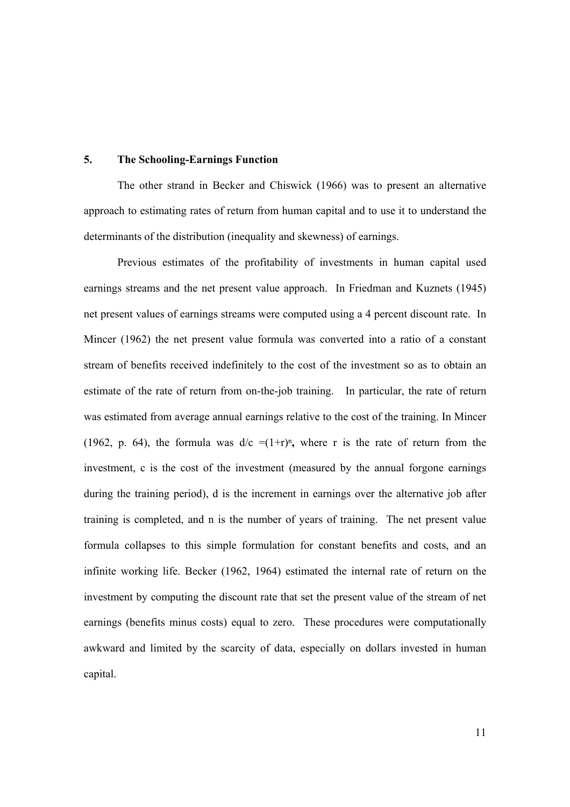#### **5. The Schooling-Earnings Function**

The other strand in Becker and Chiswick (1966) was to present an alternative approach to estimating rates of return from human capital and to use it to understand the determinants of the distribution (inequality and skewness) of earnings.

Previous estimates of the profitability of investments in human capital used earnings streams and the net present value approach. In Friedman and Kuznets (1945) net present values of earnings streams were computed using a 4 percent discount rate. In Mincer (1962) the net present value formula was converted into a ratio of a constant stream of benefits received indefinitely to the cost of the investment so as to obtain an estimate of the rate of return from on-the-job training. In particular, the rate of return was estimated from average annual earnings relative to the cost of the training. In Mincer (1962, p. 64), the formula was  $d/c = (1+r)^n$ , where r is the rate of return from the investment, c is the cost of the investment (measured by the annual forgone earnings during the training period), d is the increment in earnings over the alternative job after training is completed, and n is the number of years of training. The net present value formula collapses to this simple formulation for constant benefits and costs, and an infinite working life. Becker (1962, 1964) estimated the internal rate of return on the investment by computing the discount rate that set the present value of the stream of net earnings (benefits minus costs) equal to zero. These procedures were computationally awkward and limited by the scarcity of data, especially on dollars invested in human capital.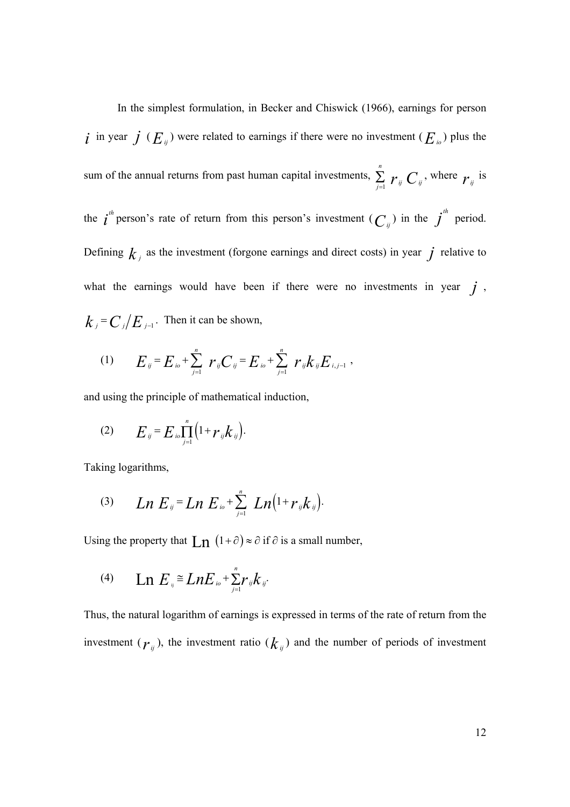In the simplest formulation, in Becker and Chiswick (1966), earnings for person *i* in year *j* ( $E_{ij}$ ) were related to earnings if there were no investment ( $E_{i0}$ ) plus the sum of the annual returns from past human capital investments, 1 *n*  $\sum_{j=1}$   $r_{ij}$   $C_{ij}$ , where  $r_{ij}$  is the  $i^{th}$  person's rate of return from this person's investment  $(C_{ij})$  in the  $j^{th}$  period. Defining  $k_j$  as the investment (forgone earnings and direct costs) in year  $j$  relative to what the earnings would have been if there were no investments in year  $j$ ,  $k_i = C_i / E_{i-1}$ . Then it can be shown,

(1) 
$$
E_{ij} = E_{i0} + \sum_{j=1}^{n} r_{ij} C_{ij} = E_{i0} + \sum_{j=1}^{n} r_{ij} k_{ij} E_{i,j-1}
$$

and using the principle of mathematical induction,

(2) 
$$
E_{ij} = E_{io} \prod_{j=1}^{n} (1 + r_{ij} k_{ij}).
$$

Taking logarithms,

(3) 
$$
Ln E_{ij} = Ln E_{io} + \sum_{j=1}^{n} Ln (1 + r_{ij}k_{ij}).
$$

Using the property that  $\text{Ln} (1+\partial) \approx \partial$  if  $\partial$  is a small number,

(4) 
$$
\text{Ln } E_{ij} \cong \text{Ln} E_{io} + \sum_{j=1}^{n} r_{ij} k_{ij}
$$

Thus, the natural logarithm of earnings is expressed in terms of the rate of return from the investment ( $r_{ij}$ ), the investment ratio ( $k_{ij}$ ) and the number of periods of investment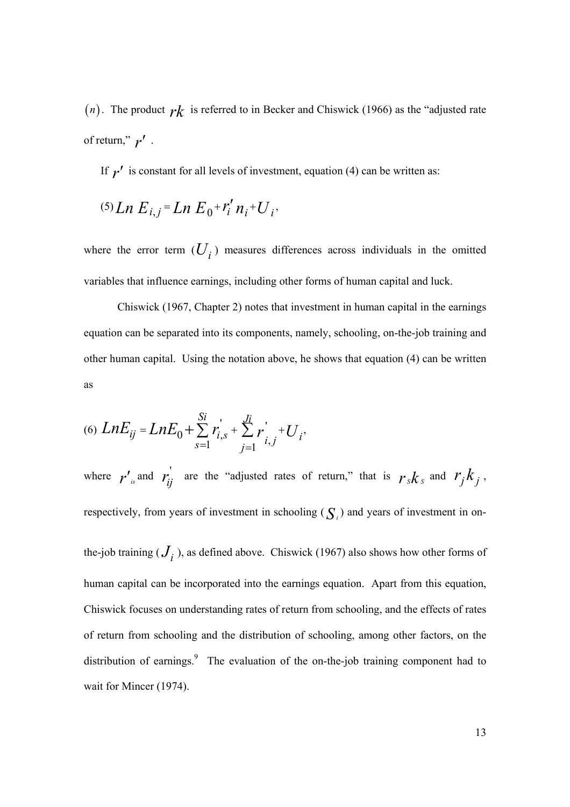(*n*). The product  $rk$  is referred to in Becker and Chiswick (1966) as the "adjusted rate of return,"  $r'$ .

If  $r'$  is constant for all levels of investment, equation (4) can be written as:

$$
^{(5)}Ln E_{i,j}=Ln E_0+r'_i n_i+U_i.
$$

where the error term  $(U_i)$  measures differences across individuals in the omitted variables that influence earnings, including other forms of human capital and luck.

Chiswick (1967, Chapter 2) notes that investment in human capital in the earnings equation can be separated into its components, namely, schooling, on-the-job training and other human capital. Using the notation above, he shows that equation (4) can be written as

$$
(6) \ LnE_{ij} = LnE_0 + \sum_{s=1}^{Si} r_{i,s}^{\prime} + \sum_{j=1}^{Ji} r_{i,j}^{\prime} + U_i,
$$

where  $r'$ <sub>*is*</sub> and  $r'_{ij}$  are the "adjusted rates of return," that is  $r_s k_s$  and  $r_j k_j$ , respectively, from years of investment in schooling  $(S_i)$  and years of investment in on-

the-job training  $(J_i)$ , as defined above. Chiswick (1967) also shows how other forms of human capital can be incorporated into the earnings equation. Apart from this equation, Chiswick focuses on understanding rates of return from schooling, and the effects of rates of return from schooling and the distribution of schooling, among other factors, on the distribution of earnings.<sup>9</sup> The evaluation of the on-the-job training component had to wait for Mincer (1974).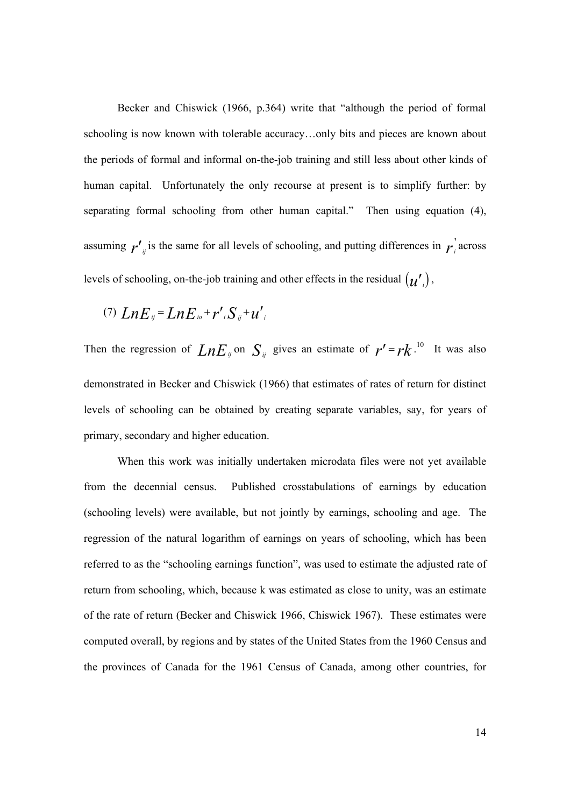Becker and Chiswick (1966, p.364) write that "although the period of formal schooling is now known with tolerable accuracy…only bits and pieces are known about the periods of formal and informal on-the-job training and still less about other kinds of human capital. Unfortunately the only recourse at present is to simplify further: by separating formal schooling from other human capital." Then using equation (4), assuming  $r'_{ij}$  is the same for all levels of schooling, and putting differences in  $r_i$  across levels of schooling, on-the-job training and other effects in the residual  $(u')$ ,

(7) 
$$
LnE_{ij} = LnE_{io} + r'_{i}S_{ij} + u'_{i}
$$

Then the regression of  $LnE_{ij}$  on  $S_{ij}$  gives an estimate of  $r' = rk$ .<sup>10</sup> It was also demonstrated in Becker and Chiswick (1966) that estimates of rates of return for distinct levels of schooling can be obtained by creating separate variables, say, for years of primary, secondary and higher education.

 When this work was initially undertaken microdata files were not yet available from the decennial census. Published crosstabulations of earnings by education (schooling levels) were available, but not jointly by earnings, schooling and age. The regression of the natural logarithm of earnings on years of schooling, which has been referred to as the "schooling earnings function", was used to estimate the adjusted rate of return from schooling, which, because k was estimated as close to unity, was an estimate of the rate of return (Becker and Chiswick 1966, Chiswick 1967). These estimates were computed overall, by regions and by states of the United States from the 1960 Census and the provinces of Canada for the 1961 Census of Canada, among other countries, for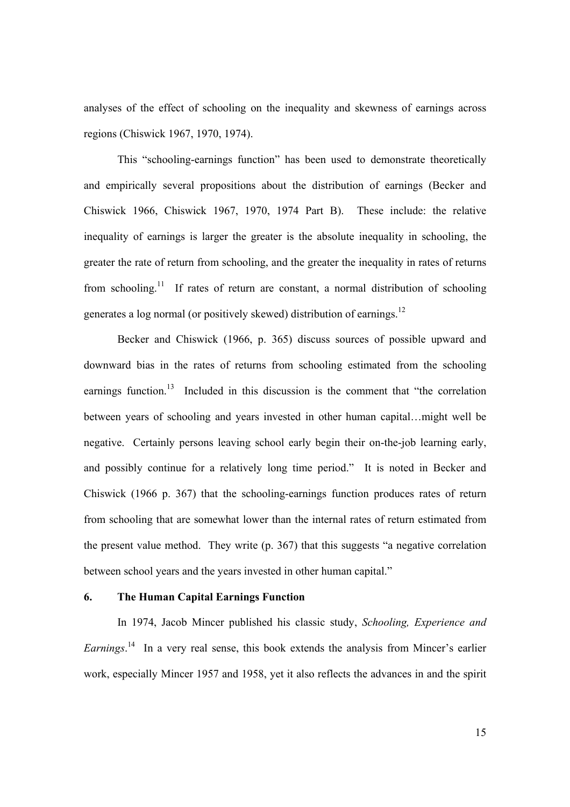analyses of the effect of schooling on the inequality and skewness of earnings across regions (Chiswick 1967, 1970, 1974).

 This "schooling-earnings function" has been used to demonstrate theoretically and empirically several propositions about the distribution of earnings (Becker and Chiswick 1966, Chiswick 1967, 1970, 1974 Part B). These include: the relative inequality of earnings is larger the greater is the absolute inequality in schooling, the greater the rate of return from schooling, and the greater the inequality in rates of returns from schooling.<sup>11</sup> If rates of return are constant, a normal distribution of schooling generates a log normal (or positively skewed) distribution of earnings.<sup>12</sup>

 Becker and Chiswick (1966, p. 365) discuss sources of possible upward and downward bias in the rates of returns from schooling estimated from the schooling earnings function.<sup>13</sup> Included in this discussion is the comment that "the correlation between years of schooling and years invested in other human capital…might well be negative. Certainly persons leaving school early begin their on-the-job learning early, and possibly continue for a relatively long time period." It is noted in Becker and Chiswick (1966 p. 367) that the schooling-earnings function produces rates of return from schooling that are somewhat lower than the internal rates of return estimated from the present value method. They write (p. 367) that this suggests "a negative correlation between school years and the years invested in other human capital."

#### **6. The Human Capital Earnings Function**

 In 1974, Jacob Mincer published his classic study, *Schooling, Experience and Earnings*. 14 In a very real sense, this book extends the analysis from Mincer's earlier work, especially Mincer 1957 and 1958, yet it also reflects the advances in and the spirit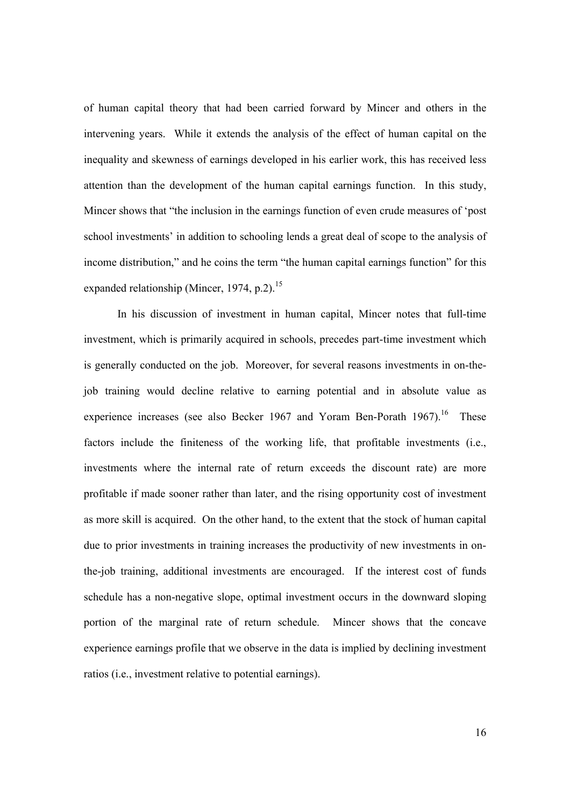of human capital theory that had been carried forward by Mincer and others in the intervening years. While it extends the analysis of the effect of human capital on the inequality and skewness of earnings developed in his earlier work, this has received less attention than the development of the human capital earnings function. In this study, Mincer shows that "the inclusion in the earnings function of even crude measures of 'post school investments' in addition to schooling lends a great deal of scope to the analysis of income distribution," and he coins the term "the human capital earnings function" for this expanded relationship (Mincer, 1974, p.2).<sup>15</sup>

 In his discussion of investment in human capital, Mincer notes that full-time investment, which is primarily acquired in schools, precedes part-time investment which is generally conducted on the job. Moreover, for several reasons investments in on-thejob training would decline relative to earning potential and in absolute value as experience increases (see also Becker 1967 and Yoram Ben-Porath  $1967$ ).<sup>16</sup> These factors include the finiteness of the working life, that profitable investments (i.e., investments where the internal rate of return exceeds the discount rate) are more profitable if made sooner rather than later, and the rising opportunity cost of investment as more skill is acquired. On the other hand, to the extent that the stock of human capital due to prior investments in training increases the productivity of new investments in onthe-job training, additional investments are encouraged. If the interest cost of funds schedule has a non-negative slope, optimal investment occurs in the downward sloping portion of the marginal rate of return schedule. Mincer shows that the concave experience earnings profile that we observe in the data is implied by declining investment ratios (i.e., investment relative to potential earnings).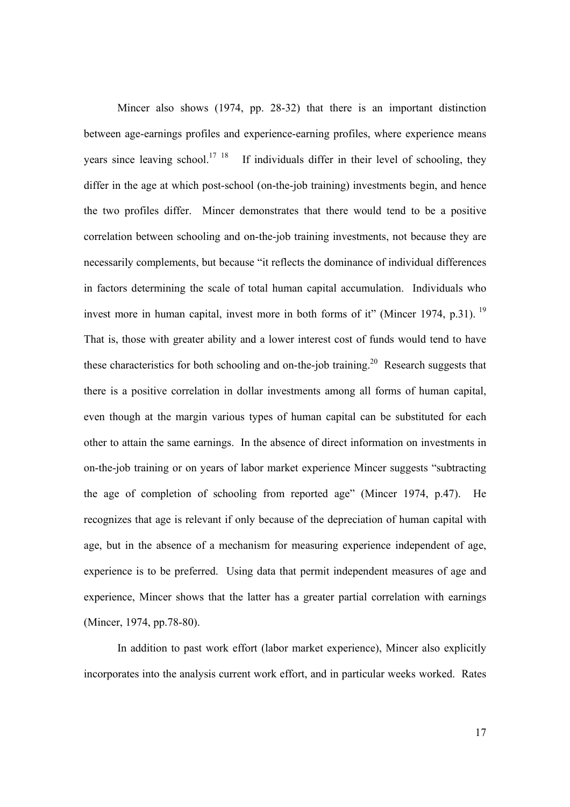Mincer also shows (1974, pp. 28-32) that there is an important distinction between age-earnings profiles and experience-earning profiles, where experience means years since leaving school.<sup>17</sup> <sup>18</sup> If individuals differ in their level of schooling, they differ in the age at which post-school (on-the-job training) investments begin, and hence the two profiles differ. Mincer demonstrates that there would tend to be a positive correlation between schooling and on-the-job training investments, not because they are necessarily complements, but because "it reflects the dominance of individual differences in factors determining the scale of total human capital accumulation. Individuals who invest more in human capital, invest more in both forms of it" (Mincer 1974, p.31).<sup>19</sup> That is, those with greater ability and a lower interest cost of funds would tend to have these characteristics for both schooling and on-the-job training.<sup>20</sup> Research suggests that there is a positive correlation in dollar investments among all forms of human capital, even though at the margin various types of human capital can be substituted for each other to attain the same earnings. In the absence of direct information on investments in on-the-job training or on years of labor market experience Mincer suggests "subtracting the age of completion of schooling from reported age" (Mincer 1974, p.47). He recognizes that age is relevant if only because of the depreciation of human capital with age, but in the absence of a mechanism for measuring experience independent of age, experience is to be preferred. Using data that permit independent measures of age and experience, Mincer shows that the latter has a greater partial correlation with earnings (Mincer, 1974, pp.78-80).

In addition to past work effort (labor market experience), Mincer also explicitly incorporates into the analysis current work effort, and in particular weeks worked. Rates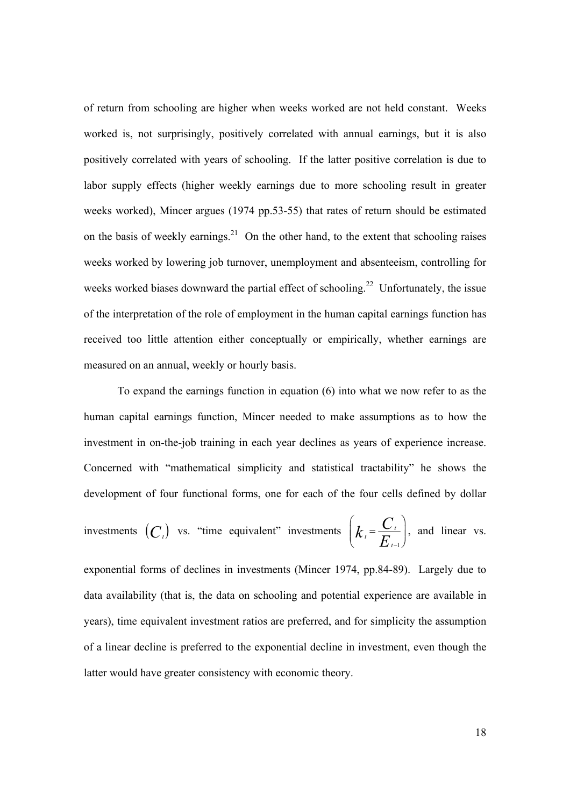of return from schooling are higher when weeks worked are not held constant. Weeks worked is, not surprisingly, positively correlated with annual earnings, but it is also positively correlated with years of schooling. If the latter positive correlation is due to labor supply effects (higher weekly earnings due to more schooling result in greater weeks worked), Mincer argues (1974 pp.53-55) that rates of return should be estimated on the basis of weekly earnings.<sup>21</sup> On the other hand, to the extent that schooling raises weeks worked by lowering job turnover, unemployment and absenteeism, controlling for weeks worked biases downward the partial effect of schooling.<sup>22</sup> Unfortunately, the issue of the interpretation of the role of employment in the human capital earnings function has received too little attention either conceptually or empirically, whether earnings are measured on an annual, weekly or hourly basis.

 To expand the earnings function in equation (6) into what we now refer to as the human capital earnings function, Mincer needed to make assumptions as to how the investment in on-the-job training in each year declines as years of experience increase. Concerned with "mathematical simplicity and statistical tractability" he shows the development of four functional forms, one for each of the four cells defined by dollar

investments 
$$
(C_i)
$$
 vs. "time equivalent" investments  $\left(k_t = \frac{C_t}{E_{t-1}}\right)$ , and linear vs.

exponential forms of declines in investments (Mincer 1974, pp.84-89). Largely due to data availability (that is, the data on schooling and potential experience are available in years), time equivalent investment ratios are preferred, and for simplicity the assumption of a linear decline is preferred to the exponential decline in investment, even though the latter would have greater consistency with economic theory.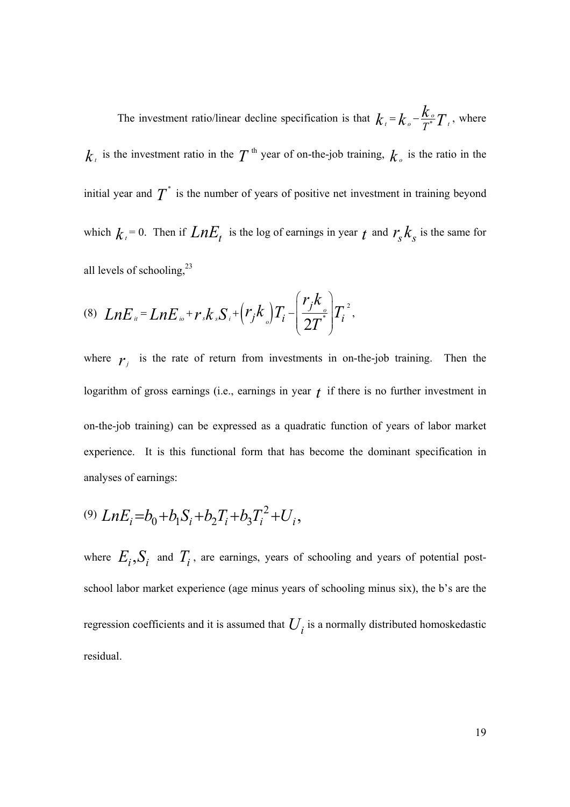The investment ratio/linear decline specification is that  $k_1 = k_0 - \frac{\mu_0}{T}$  $k_{\iota}$  =  $k_{\circ}$  -  $\frac{k_{\circ}}{T^{*}} T_{\iota}$  , where  $k_{\tau}$  is the investment ratio in the  $T$ <sup>th</sup> year of on-the-job training,  $k_{\sigma}$  is the ratio in the initial year and  $T^*$  is the number of years of positive net investment in training beyond which  $k_t = 0$ . Then if  $LnE_t$  is the log of earnings in year  $t$  and  $r_s k_s$  is the same for all levels of schooling, $^{23}$ 

(8) 
$$
LnE_{u} = LnE_{i\circ} + r_s k_s S_i + (r_j k_{\circ}) T_i - \left(\frac{r_j k_{\circ}}{2T}\right) T_i^{2},
$$

where  $r_j$  is the rate of return from investments in on-the-job training. Then the logarithm of gross earnings (i.e., earnings in year *t* if there is no further investment in on-the-job training) can be expressed as a quadratic function of years of labor market experience. It is this functional form that has become the dominant specification in analyses of earnings:

$$
^{(9)}LnE_i = b_0 + b_1S_i + b_2T_i + b_3T_i^2 + U_i,
$$

where  $E_i$ ,  $S_i$  and  $T_i$ , are earnings, years of schooling and years of potential postschool labor market experience (age minus years of schooling minus six), the b's are the regression coefficients and it is assumed that  $U_i$  is a normally distributed homoskedastic residual.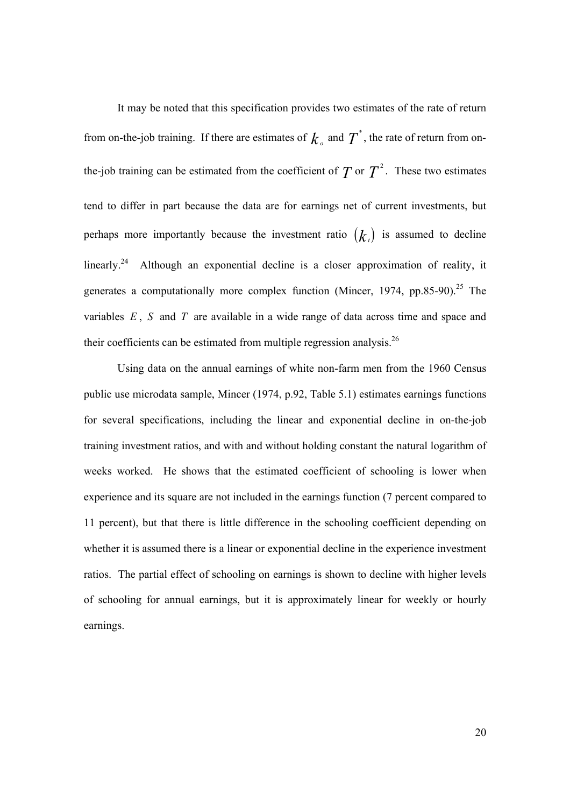It may be noted that this specification provides two estimates of the rate of return from on-the-job training. If there are estimates of  $k_0$  and  $T^*$ , the rate of return from onthe-job training can be estimated from the coefficient of  $T$  or  $T^2$ . These two estimates tend to differ in part because the data are for earnings net of current investments, but perhaps more importantly because the investment ratio  $(k<sub>t</sub>)$  is assumed to decline linearly.24 Although an exponential decline is a closer approximation of reality, it generates a computationally more complex function (Mincer, 1974, pp.85-90).<sup>25</sup> The variables *E* , *S* and *T* are available in a wide range of data across time and space and their coefficients can be estimated from multiple regression analysis.26

Using data on the annual earnings of white non-farm men from the 1960 Census public use microdata sample, Mincer (1974, p.92, Table 5.1) estimates earnings functions for several specifications, including the linear and exponential decline in on-the-job training investment ratios, and with and without holding constant the natural logarithm of weeks worked. He shows that the estimated coefficient of schooling is lower when experience and its square are not included in the earnings function (7 percent compared to 11 percent), but that there is little difference in the schooling coefficient depending on whether it is assumed there is a linear or exponential decline in the experience investment ratios. The partial effect of schooling on earnings is shown to decline with higher levels of schooling for annual earnings, but it is approximately linear for weekly or hourly earnings.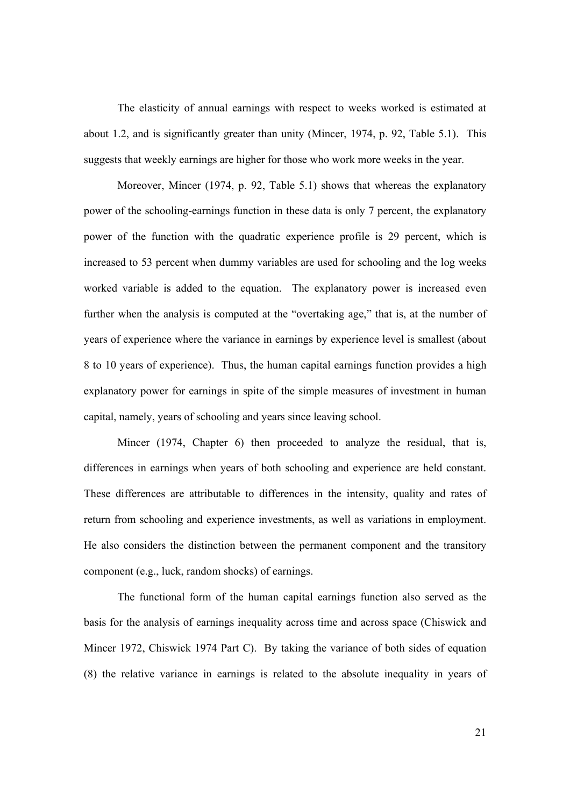The elasticity of annual earnings with respect to weeks worked is estimated at about 1.2, and is significantly greater than unity (Mincer, 1974, p. 92, Table 5.1). This suggests that weekly earnings are higher for those who work more weeks in the year.

Moreover, Mincer (1974, p. 92, Table 5.1) shows that whereas the explanatory power of the schooling-earnings function in these data is only 7 percent, the explanatory power of the function with the quadratic experience profile is 29 percent, which is increased to 53 percent when dummy variables are used for schooling and the log weeks worked variable is added to the equation. The explanatory power is increased even further when the analysis is computed at the "overtaking age," that is, at the number of years of experience where the variance in earnings by experience level is smallest (about 8 to 10 years of experience). Thus, the human capital earnings function provides a high explanatory power for earnings in spite of the simple measures of investment in human capital, namely, years of schooling and years since leaving school.

 Mincer (1974, Chapter 6) then proceeded to analyze the residual, that is, differences in earnings when years of both schooling and experience are held constant. These differences are attributable to differences in the intensity, quality and rates of return from schooling and experience investments, as well as variations in employment. He also considers the distinction between the permanent component and the transitory component (e.g., luck, random shocks) of earnings.

 The functional form of the human capital earnings function also served as the basis for the analysis of earnings inequality across time and across space (Chiswick and Mincer 1972, Chiswick 1974 Part C). By taking the variance of both sides of equation (8) the relative variance in earnings is related to the absolute inequality in years of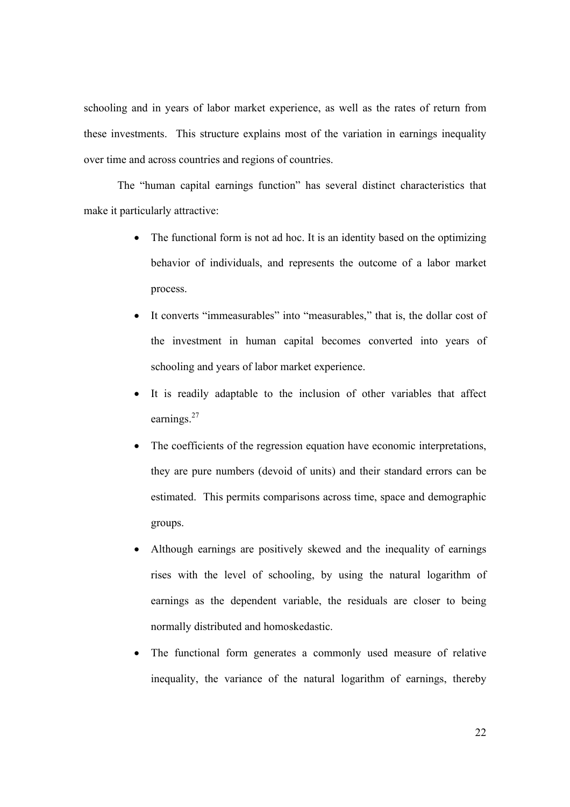schooling and in years of labor market experience, as well as the rates of return from these investments. This structure explains most of the variation in earnings inequality over time and across countries and regions of countries.

 The "human capital earnings function" has several distinct characteristics that make it particularly attractive:

- The functional form is not ad hoc. It is an identity based on the optimizing behavior of individuals, and represents the outcome of a labor market process.
- It converts "immeasurables" into "measurables," that is, the dollar cost of the investment in human capital becomes converted into years of schooling and years of labor market experience.
- It is readily adaptable to the inclusion of other variables that affect earnings.<sup>27</sup>
- The coefficients of the regression equation have economic interpretations, they are pure numbers (devoid of units) and their standard errors can be estimated. This permits comparisons across time, space and demographic groups.
- Although earnings are positively skewed and the inequality of earnings rises with the level of schooling, by using the natural logarithm of earnings as the dependent variable, the residuals are closer to being normally distributed and homoskedastic.
- The functional form generates a commonly used measure of relative inequality, the variance of the natural logarithm of earnings, thereby

22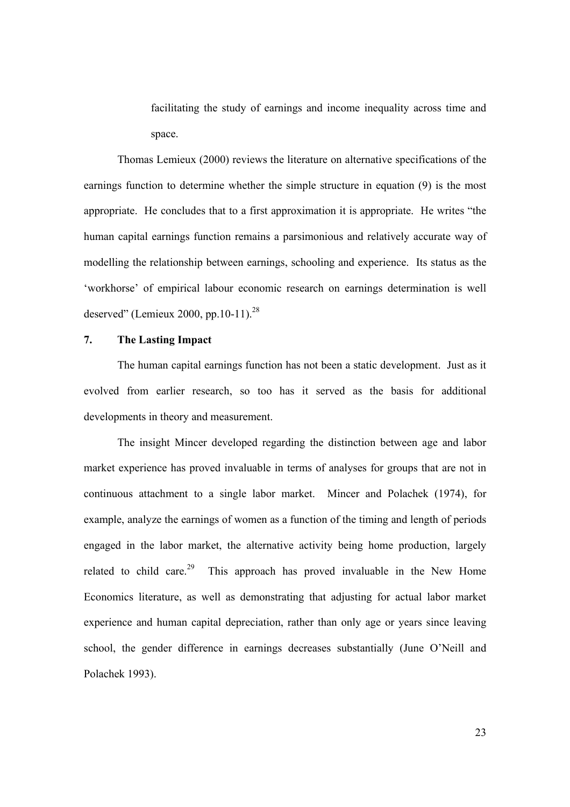facilitating the study of earnings and income inequality across time and space.

Thomas Lemieux (2000) reviews the literature on alternative specifications of the earnings function to determine whether the simple structure in equation (9) is the most appropriate. He concludes that to a first approximation it is appropriate. He writes "the human capital earnings function remains a parsimonious and relatively accurate way of modelling the relationship between earnings, schooling and experience. Its status as the 'workhorse' of empirical labour economic research on earnings determination is well deserved" (Lemieux 2000, pp.10-11). $^{28}$ 

#### **7. The Lasting Impact**

The human capital earnings function has not been a static development. Just as it evolved from earlier research, so too has it served as the basis for additional developments in theory and measurement.

The insight Mincer developed regarding the distinction between age and labor market experience has proved invaluable in terms of analyses for groups that are not in continuous attachment to a single labor market. Mincer and Polachek (1974), for example, analyze the earnings of women as a function of the timing and length of periods engaged in the labor market, the alternative activity being home production, largely related to child care.<sup>29</sup> This approach has proved invaluable in the New Home Economics literature, as well as demonstrating that adjusting for actual labor market experience and human capital depreciation, rather than only age or years since leaving school, the gender difference in earnings decreases substantially (June O'Neill and Polachek 1993).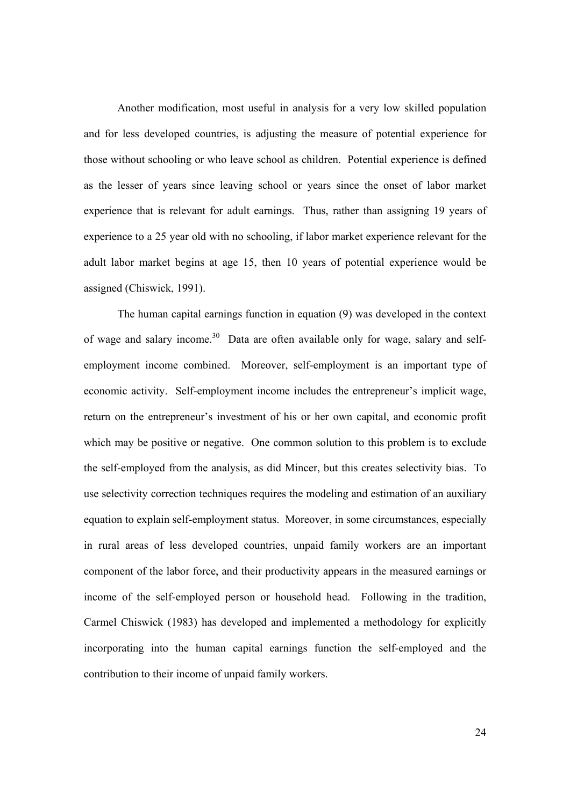Another modification, most useful in analysis for a very low skilled population and for less developed countries, is adjusting the measure of potential experience for those without schooling or who leave school as children. Potential experience is defined as the lesser of years since leaving school or years since the onset of labor market experience that is relevant for adult earnings. Thus, rather than assigning 19 years of experience to a 25 year old with no schooling, if labor market experience relevant for the adult labor market begins at age 15, then 10 years of potential experience would be assigned (Chiswick, 1991).

The human capital earnings function in equation (9) was developed in the context of wage and salary income.<sup>30</sup> Data are often available only for wage, salary and selfemployment income combined. Moreover, self-employment is an important type of economic activity. Self-employment income includes the entrepreneur's implicit wage, return on the entrepreneur's investment of his or her own capital, and economic profit which may be positive or negative. One common solution to this problem is to exclude the self-employed from the analysis, as did Mincer, but this creates selectivity bias. To use selectivity correction techniques requires the modeling and estimation of an auxiliary equation to explain self-employment status. Moreover, in some circumstances, especially in rural areas of less developed countries, unpaid family workers are an important component of the labor force, and their productivity appears in the measured earnings or income of the self-employed person or household head. Following in the tradition, Carmel Chiswick (1983) has developed and implemented a methodology for explicitly incorporating into the human capital earnings function the self-employed and the contribution to their income of unpaid family workers.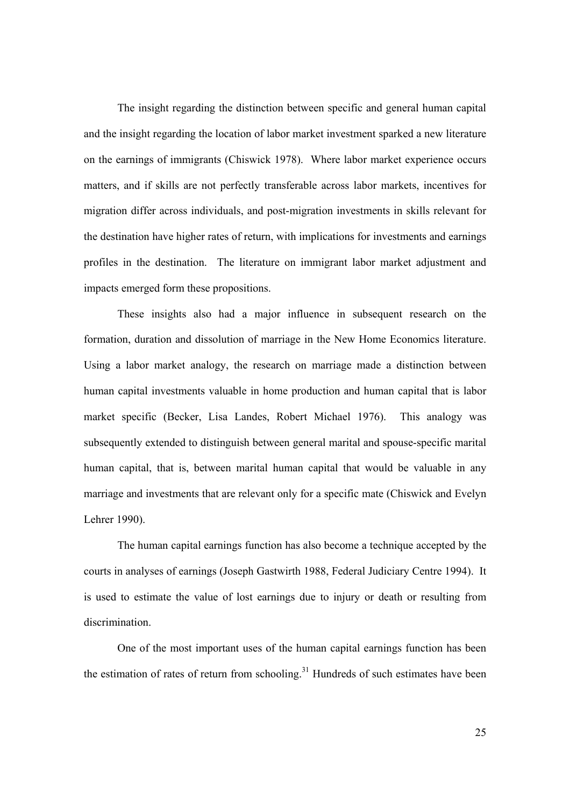The insight regarding the distinction between specific and general human capital and the insight regarding the location of labor market investment sparked a new literature on the earnings of immigrants (Chiswick 1978). Where labor market experience occurs matters, and if skills are not perfectly transferable across labor markets, incentives for migration differ across individuals, and post-migration investments in skills relevant for the destination have higher rates of return, with implications for investments and earnings profiles in the destination. The literature on immigrant labor market adjustment and impacts emerged form these propositions.

 These insights also had a major influence in subsequent research on the formation, duration and dissolution of marriage in the New Home Economics literature. Using a labor market analogy, the research on marriage made a distinction between human capital investments valuable in home production and human capital that is labor market specific (Becker, Lisa Landes, Robert Michael 1976). This analogy was subsequently extended to distinguish between general marital and spouse-specific marital human capital, that is, between marital human capital that would be valuable in any marriage and investments that are relevant only for a specific mate (Chiswick and Evelyn Lehrer 1990).

 The human capital earnings function has also become a technique accepted by the courts in analyses of earnings (Joseph Gastwirth 1988, Federal Judiciary Centre 1994). It is used to estimate the value of lost earnings due to injury or death or resulting from discrimination.

One of the most important uses of the human capital earnings function has been the estimation of rates of return from schooling.<sup>31</sup> Hundreds of such estimates have been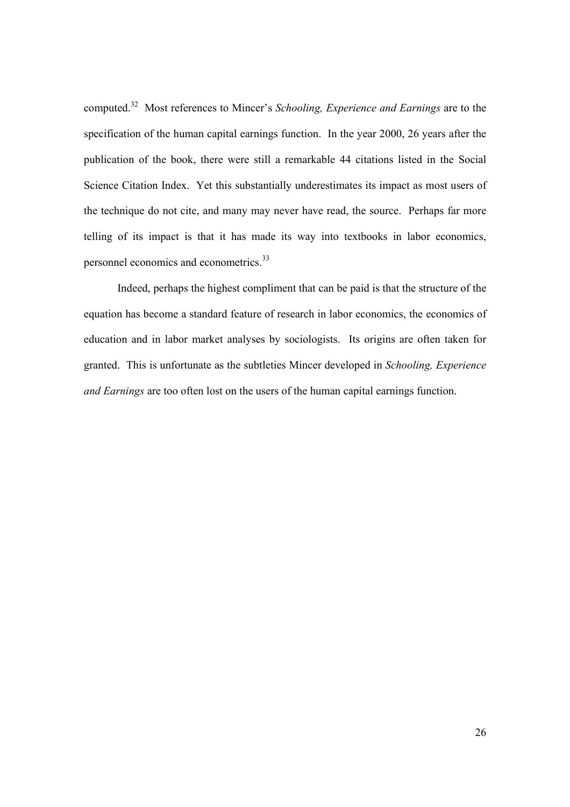computed.32 Most references to Mincer's *Schooling, Experience and Earnings* are to the specification of the human capital earnings function. In the year 2000, 26 years after the publication of the book, there were still a remarkable 44 citations listed in the Social Science Citation Index. Yet this substantially underestimates its impact as most users of the technique do not cite, and many may never have read, the source. Perhaps far more telling of its impact is that it has made its way into textbooks in labor economics, personnel economics and econometrics.<sup>33</sup>

 Indeed, perhaps the highest compliment that can be paid is that the structure of the equation has become a standard feature of research in labor economics, the economics of education and in labor market analyses by sociologists. Its origins are often taken for granted. This is unfortunate as the subtleties Mincer developed in *Schooling, Experience and Earnings* are too often lost on the users of the human capital earnings function.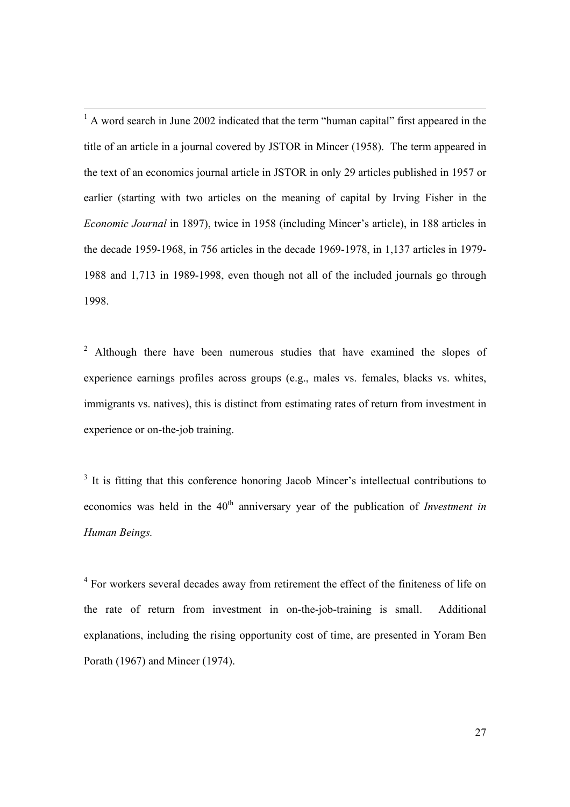<sup>1</sup> A word search in June 2002 indicated that the term "human capital" first appeared in the title of an article in a journal covered by JSTOR in Mincer (1958). The term appeared in the text of an economics journal article in JSTOR in only 29 articles published in 1957 or earlier (starting with two articles on the meaning of capital by Irving Fisher in the *Economic Journal* in 1897), twice in 1958 (including Mincer's article), in 188 articles in the decade 1959-1968, in 756 articles in the decade 1969-1978, in 1,137 articles in 1979- 1988 and 1,713 in 1989-1998, even though not all of the included journals go through 1998.

<sup>2</sup> Although there have been numerous studies that have examined the slopes of experience earnings profiles across groups (e.g., males vs. females, blacks vs. whites, immigrants vs. natives), this is distinct from estimating rates of return from investment in experience or on-the-job training.

 $3$  It is fitting that this conference honoring Jacob Mincer's intellectual contributions to economics was held in the 40<sup>th</sup> anniversary year of the publication of *Investment in Human Beings.* 

<sup>4</sup> For workers several decades away from retirement the effect of the finiteness of life on the rate of return from investment in on-the-job-training is small. Additional explanations, including the rising opportunity cost of time, are presented in Yoram Ben Porath (1967) and Mincer (1974).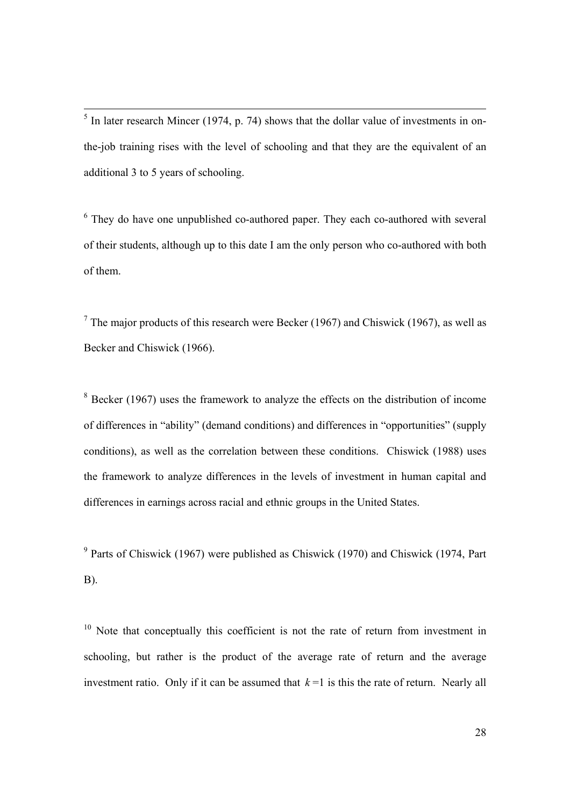$<sup>5</sup>$  In later research Mincer (1974, p. 74) shows that the dollar value of investments in on-</sup> the-job training rises with the level of schooling and that they are the equivalent of an additional 3 to 5 years of schooling.

<sup>6</sup> They do have one unpublished co-authored paper. They each co-authored with several of their students, although up to this date I am the only person who co-authored with both of them.

<sup>7</sup> The major products of this research were Becker (1967) and Chiswick (1967), as well as Becker and Chiswick (1966).

 $8$  Becker (1967) uses the framework to analyze the effects on the distribution of income of differences in "ability" (demand conditions) and differences in "opportunities" (supply conditions), as well as the correlation between these conditions. Chiswick (1988) uses the framework to analyze differences in the levels of investment in human capital and differences in earnings across racial and ethnic groups in the United States.

<sup>9</sup> Parts of Chiswick (1967) were published as Chiswick (1970) and Chiswick (1974, Part B).

 $10$  Note that conceptually this coefficient is not the rate of return from investment in schooling, but rather is the product of the average rate of return and the average investment ratio. Only if it can be assumed that  $k=1$  is this the rate of return. Nearly all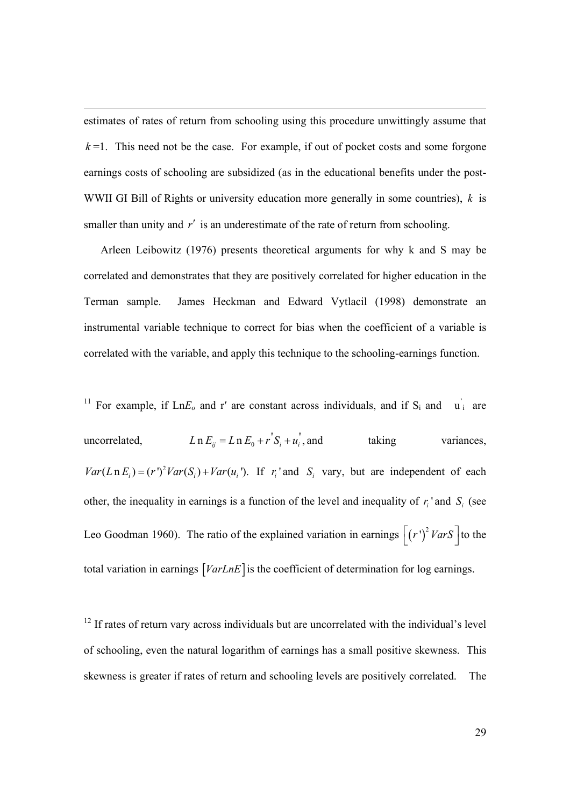estimates of rates of return from schooling using this procedure unwittingly assume that  $k=1$ . This need not be the case. For example, if out of pocket costs and some forgone earnings costs of schooling are subsidized (as in the educational benefits under the post-WWII GI Bill of Rights or university education more generally in some countries), *k* is smaller than unity and *r'* is an underestimate of the rate of return from schooling.

Arleen Leibowitz (1976) presents theoretical arguments for why k and S may be correlated and demonstrates that they are positively correlated for higher education in the Terman sample. James Heckman and Edward Vytlacil (1998) demonstrate an instrumental variable technique to correct for bias when the coefficient of a variable is correlated with the variable, and apply this technique to the schooling-earnings function.

<sup>11</sup> For example, if  $LnE_0$  and r' are constant across individuals, and if  $S_i$  and  $\vec{u}_i$  are uncorrelated,  $L n E_{ij} = L n E_0 + r^{\prime} S_i + u_i^{\prime}$ , and taking variances,  $Var(Ln E_i) = (r')^2 Var(S_i) + Var(u_i)$ . If  $r_i$  and  $S_i$  vary, but are independent of each other, the inequality in earnings is a function of the level and inequality of  $r_i$  and  $S_i$  (see Leo Goodman 1960). The ratio of the explained variation in earnings  $\left[ \left( r^{\prime }\right) ^{2}VarS\right]$  to the total variation in earnings  $[VarLnE]$  is the coefficient of determination for log earnings.

<sup>12</sup> If rates of return vary across individuals but are uncorrelated with the individual's level of schooling, even the natural logarithm of earnings has a small positive skewness. This skewness is greater if rates of return and schooling levels are positively correlated. The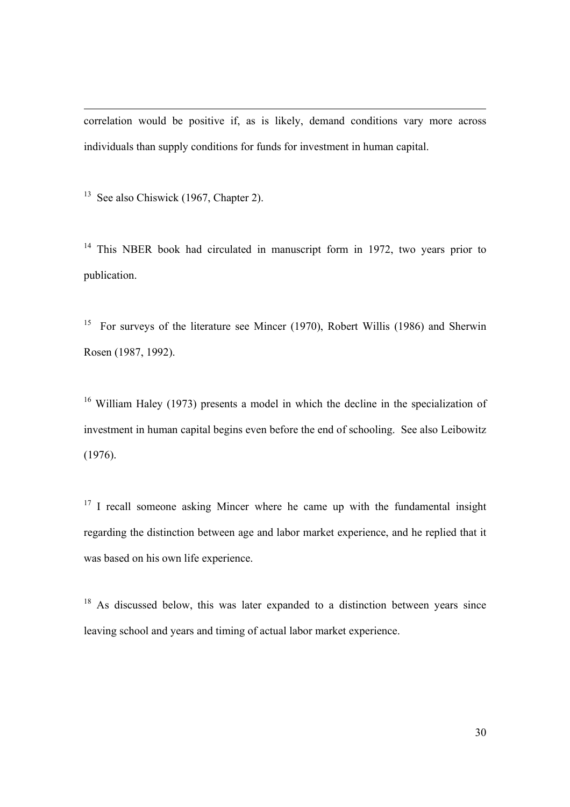correlation would be positive if, as is likely, demand conditions vary more across individuals than supply conditions for funds for investment in human capital.

<sup>13</sup> See also Chiswick (1967, Chapter 2).

<sup>14</sup> This NBER book had circulated in manuscript form in 1972, two vears prior to publication.

15 For surveys of the literature see Mincer (1970), Robert Willis (1986) and Sherwin Rosen (1987, 1992).

<sup>16</sup> William Haley (1973) presents a model in which the decline in the specialization of investment in human capital begins even before the end of schooling. See also Leibowitz (1976).

 $17$  I recall someone asking Mincer where he came up with the fundamental insight regarding the distinction between age and labor market experience, and he replied that it was based on his own life experience.

 $18$  As discussed below, this was later expanded to a distinction between years since leaving school and years and timing of actual labor market experience.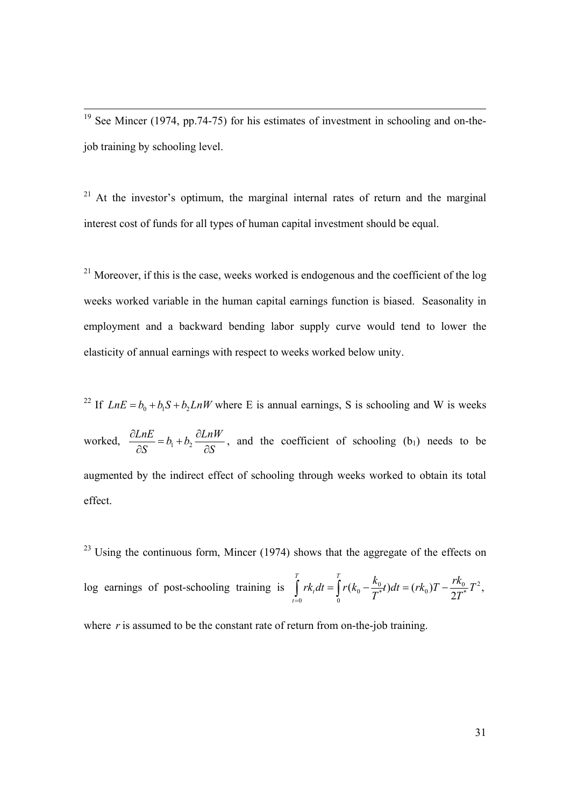$19$  See Mincer (1974, pp.74-75) for his estimates of investment in schooling and on-thejob training by schooling level.

<sup>21</sup> At the investor's optimum, the marginal internal rates of return and the marginal interest cost of funds for all types of human capital investment should be equal.

 $21$  Moreover, if this is the case, weeks worked is endogenous and the coefficient of the log weeks worked variable in the human capital earnings function is biased. Seasonality in employment and a backward bending labor supply curve would tend to lower the elasticity of annual earnings with respect to weeks worked below unity.

<sup>22</sup> If  $LnE = b_0 + b_1S + b_2LnW$  where E is annual earnings, S is schooling and W is weeks worked,  $\frac{\partial LnE}{\partial S} = b_1 + b_2 \frac{\partial LnW}{\partial S}$  $S$   $\qquad \qquad$   $\partial S$  $\frac{\partial LnE}{\partial S} = b_1 + b_2 \frac{\partial LnW}{\partial S}$ , and the coefficient of schooling (b<sub>1</sub>) needs to be augmented by the indirect effect of schooling through weeks worked to obtain its total effect.

 $^{23}$  Using the continuous form, Mincer (1974) shows that the aggregate of the effects on log earnings of post-schooling training is  $\int r k_t dt = \int r (k_0 - \frac{k_0}{T^*} t) dt = (r k_0) T - \frac{R_0}{2T^*} T^2$  $\int_0^R r k_t dt = \int_0^R r(k_0 - \frac{\kappa_0}{T^*}t) dt = (rk_0)T - \frac{\kappa_0}{2T^*}T^2,$ *T T t t*  $rk, dt = \int_{0}^{t} r(k_0 - \frac{k_0}{\sigma^*}) dt = (rk_0)T - \frac{rk_0}{2\sigma^*}T$  $\int_{-0}^{\infty} r k_t dt = \int_{0}^{\infty} r(k_0 - \frac{\kappa_0}{T^*}t) dt = (rk_0)T - \frac{rk_0}{2T}$ where  $r$  is assumed to be the constant rate of return from on-the-job training.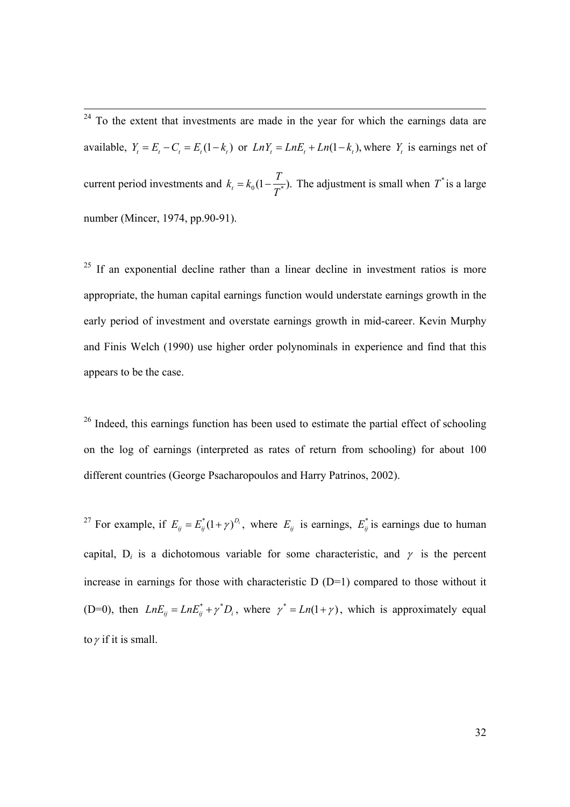$\frac{1}{24}$  To the extent that investments are made in the year for which the earnings data are available,  $Y_t = E_t - C_t = E_t (1 - k_t)$  or  $LnY_t = LnE_t + Ln(1 - k_t)$ , where  $Y_t$  is earnings net of current period investments and  $k_t = k_0 \left(1 - \frac{T}{T^*}\right)$ . The adjustment is small when  $T^*$  is a large number (Mincer, 1974, pp.90-91).

 $25$  If an exponential decline rather than a linear decline in investment ratios is more appropriate, the human capital earnings function would understate earnings growth in the early period of investment and overstate earnings growth in mid-career. Kevin Murphy and Finis Welch (1990) use higher order polynominals in experience and find that this appears to be the case.

<sup>26</sup> Indeed, this earnings function has been used to estimate the partial effect of schooling on the log of earnings (interpreted as rates of return from schooling) for about 100 different countries (George Psacharopoulos and Harry Patrinos, 2002).

<sup>27</sup> For example, if  $E_{ij} = E_{ij}^*(1+\gamma)^{D_i}$ , where  $E_{ij}$  is earnings,  $E_{ij}^*$  is earnings due to human capital,  $D_i$  is a dichotomous variable for some characteristic, and  $\gamma$  is the percent increase in earnings for those with characteristic  $D(D=1)$  compared to those without it (D=0), then  $LnE_{ij} = LnE_{ij}^* + \gamma^*D_i$ , where  $\gamma^* = Ln(1 + \gamma)$ , which is approximately equal to  $\gamma$  if it is small.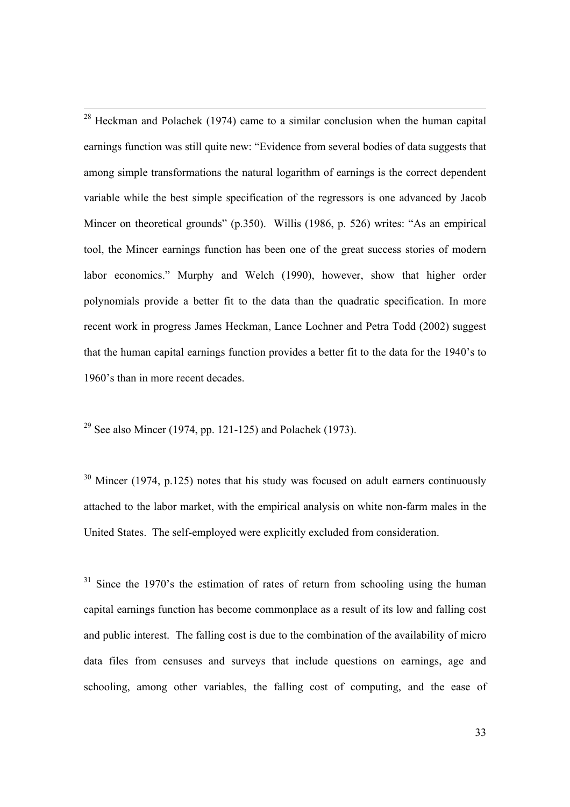$28$  Heckman and Polachek (1974) came to a similar conclusion when the human capital earnings function was still quite new: "Evidence from several bodies of data suggests that among simple transformations the natural logarithm of earnings is the correct dependent variable while the best simple specification of the regressors is one advanced by Jacob Mincer on theoretical grounds" (p.350). Willis (1986, p. 526) writes: "As an empirical tool, the Mincer earnings function has been one of the great success stories of modern labor economics." Murphy and Welch (1990), however, show that higher order polynomials provide a better fit to the data than the quadratic specification. In more recent work in progress James Heckman, Lance Lochner and Petra Todd (2002) suggest that the human capital earnings function provides a better fit to the data for the 1940's to 1960's than in more recent decades.

<sup>29</sup> See also Mincer (1974, pp. 121-125) and Polachek (1973).

 $30$  Mincer (1974, p.125) notes that his study was focused on adult earners continuously attached to the labor market, with the empirical analysis on white non-farm males in the United States. The self-employed were explicitly excluded from consideration.

 $31$  Since the 1970's the estimation of rates of return from schooling using the human capital earnings function has become commonplace as a result of its low and falling cost and public interest. The falling cost is due to the combination of the availability of micro data files from censuses and surveys that include questions on earnings, age and schooling, among other variables, the falling cost of computing, and the ease of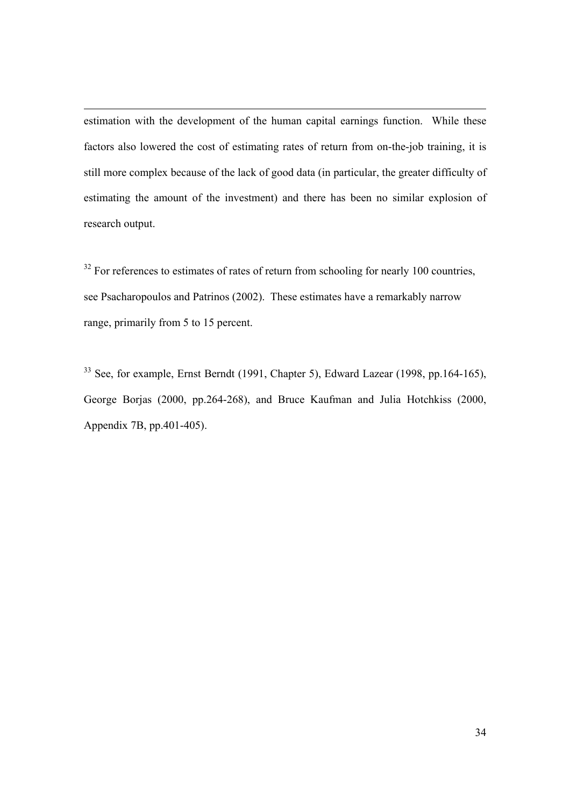estimation with the development of the human capital earnings function. While these factors also lowered the cost of estimating rates of return from on-the-job training, it is still more complex because of the lack of good data (in particular, the greater difficulty of estimating the amount of the investment) and there has been no similar explosion of research output.

 $32$  For references to estimates of rates of return from schooling for nearly 100 countries, see Psacharopoulos and Patrinos (2002). These estimates have a remarkably narrow range, primarily from 5 to 15 percent.

<sup>33</sup> See, for example, Ernst Berndt (1991, Chapter 5), Edward Lazear (1998, pp.164-165), George Borjas (2000, pp.264-268), and Bruce Kaufman and Julia Hotchkiss (2000, Appendix 7B, pp.401-405).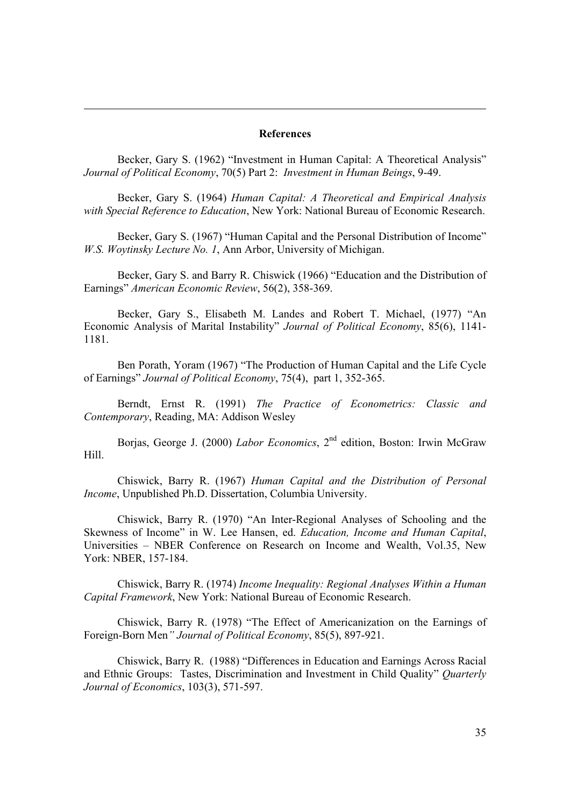#### **References**

Becker, Gary S. (1962) "Investment in Human Capital: A Theoretical Analysis" *Journal of Political Economy*, 70(5) Part 2: *Investment in Human Beings*, 9-49.

Becker, Gary S. (1964) *Human Capital: A Theoretical and Empirical Analysis with Special Reference to Education*, New York: National Bureau of Economic Research.

Becker, Gary S. (1967) "Human Capital and the Personal Distribution of Income" *W.S. Woytinsky Lecture No. 1*, Ann Arbor, University of Michigan.

Becker, Gary S. and Barry R. Chiswick (1966) "Education and the Distribution of Earnings" *American Economic Review*, 56(2), 358-369.

Becker, Gary S., Elisabeth M. Landes and Robert T. Michael, (1977) "An Economic Analysis of Marital Instability" *Journal of Political Economy*, 85(6), 1141- 1181.

Ben Porath, Yoram (1967) "The Production of Human Capital and the Life Cycle of Earnings" *Journal of Political Economy*, 75(4), part 1, 352-365.

Berndt, Ernst R. (1991) *The Practice of Econometrics: Classic and Contemporary*, Reading, MA: Addison Wesley

Borjas, George J. (2000) *Labor Economics*, 2<sup>nd</sup> edition, Boston: Irwin McGraw Hill.

Chiswick, Barry R. (1967) *Human Capital and the Distribution of Personal Income*, Unpublished Ph.D. Dissertation, Columbia University.

Chiswick, Barry R. (1970) "An Inter-Regional Analyses of Schooling and the Skewness of Income" in W. Lee Hansen, ed. *Education, Income and Human Capital*, Universities – NBER Conference on Research on Income and Wealth, Vol.35, New York: NBER, 157-184.

Chiswick, Barry R. (1974) *Income Inequality: Regional Analyses Within a Human Capital Framework*, New York: National Bureau of Economic Research.

Chiswick, Barry R. (1978) "The Effect of Americanization on the Earnings of Foreign-Born Men*" Journal of Political Economy*, 85(5), 897-921.

Chiswick, Barry R. (1988) "Differences in Education and Earnings Across Racial and Ethnic Groups: Tastes, Discrimination and Investment in Child Quality" *Quarterly Journal of Economics*, 103(3), 571-597.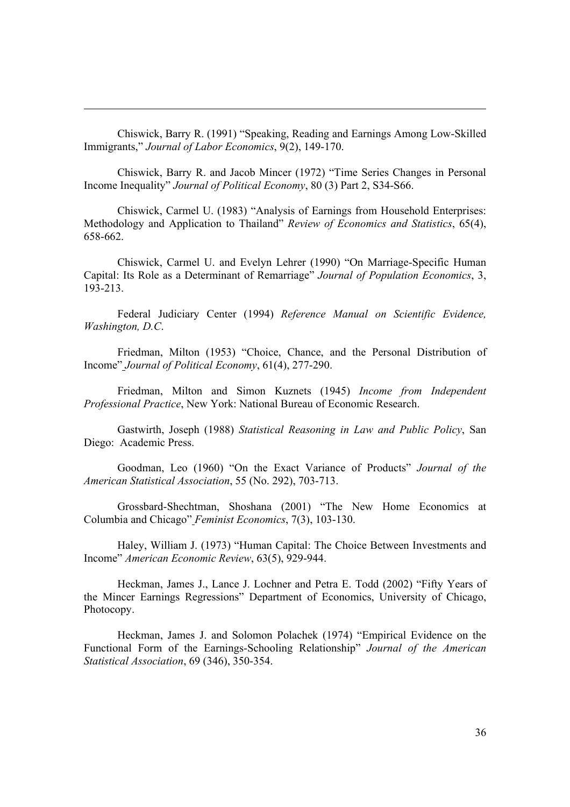Chiswick, Barry R. (1991) "Speaking, Reading and Earnings Among Low-Skilled Immigrants," *Journal of Labor Economics*, 9(2), 149-170.

Chiswick, Barry R. and Jacob Mincer (1972) "Time Series Changes in Personal Income Inequality" *Journal of Political Economy*, 80 (3) Part 2, S34-S66.

Chiswick, Carmel U. (1983) "Analysis of Earnings from Household Enterprises: Methodology and Application to Thailand" *Review of Economics and Statistics*, 65(4), 658-662.

Chiswick, Carmel U. and Evelyn Lehrer (1990) "On Marriage-Specific Human Capital: Its Role as a Determinant of Remarriage" *Journal of Population Economics*, 3, 193-213.

Federal Judiciary Center (1994) *Reference Manual on Scientific Evidence, Washington, D.C*.

Friedman, Milton (1953) "Choice, Chance, and the Personal Distribution of Income" *Journal of Political Economy*, 61(4), 277-290.

Friedman, Milton and Simon Kuznets (1945) *Income from Independent Professional Practice*, New York: National Bureau of Economic Research.

Gastwirth, Joseph (1988) *Statistical Reasoning in Law and Public Policy*, San Diego: Academic Press.

Goodman, Leo (1960) "On the Exact Variance of Products" *Journal of the American Statistical Association*, 55 (No. 292), 703-713.

Grossbard-Shechtman, Shoshana (2001) "The New Home Economics at Columbia and Chicago" *Feminist Economics*, 7(3), 103-130.

Haley, William J. (1973) "Human Capital: The Choice Between Investments and Income" *American Economic Review*, 63(5), 929-944.

Heckman, James J., Lance J. Lochner and Petra E. Todd (2002) "Fifty Years of the Mincer Earnings Regressions" Department of Economics, University of Chicago, Photocopy.

Heckman, James J. and Solomon Polachek (1974) "Empirical Evidence on the Functional Form of the Earnings-Schooling Relationship" *Journal of the American Statistical Association*, 69 (346), 350-354.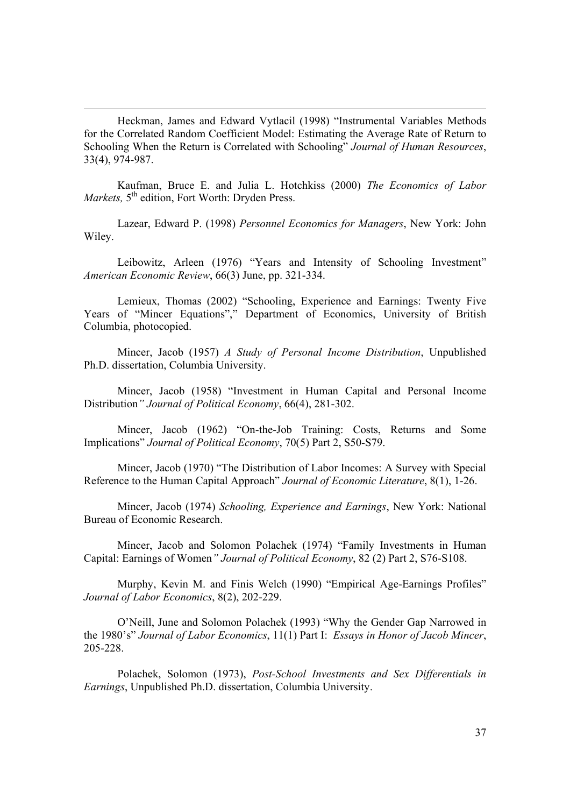Heckman, James and Edward Vytlacil (1998) "Instrumental Variables Methods for the Correlated Random Coefficient Model: Estimating the Average Rate of Return to Schooling When the Return is Correlated with Schooling" *Journal of Human Resources*, 33(4), 974-987.

Kaufman, Bruce E. and Julia L. Hotchkiss (2000) *The Economics of Labor Markets*, 5<sup>th</sup> edition, Fort Worth: Dryden Press.

Lazear, Edward P. (1998) *Personnel Economics for Managers*, New York: John Wiley.

Leibowitz, Arleen (1976) "Years and Intensity of Schooling Investment" *American Economic Review*, 66(3) June, pp. 321-334.

Lemieux, Thomas (2002) "Schooling, Experience and Earnings: Twenty Five Years of "Mincer Equations"," Department of Economics, University of British Columbia, photocopied.

Mincer, Jacob (1957) *A Study of Personal Income Distribution*, Unpublished Ph.D. dissertation, Columbia University.

Mincer, Jacob (1958) "Investment in Human Capital and Personal Income Distribution*" Journal of Political Economy*, 66(4), 281-302.

Mincer, Jacob (1962) "On-the-Job Training: Costs, Returns and Some Implications" *Journal of Political Economy*, 70(5) Part 2, S50-S79.

Mincer, Jacob (1970) "The Distribution of Labor Incomes: A Survey with Special Reference to the Human Capital Approach" *Journal of Economic Literature*, 8(1), 1-26.

Mincer, Jacob (1974) *Schooling, Experience and Earnings*, New York: National Bureau of Economic Research.

Mincer, Jacob and Solomon Polachek (1974) "Family Investments in Human Capital: Earnings of Women*" Journal of Political Economy*, 82 (2) Part 2, S76-S108.

Murphy, Kevin M. and Finis Welch (1990) "Empirical Age-Earnings Profiles" *Journal of Labor Economics*, 8(2), 202-229.

O'Neill, June and Solomon Polachek (1993) "Why the Gender Gap Narrowed in the 1980's" *Journal of Labor Economics*, 11(1) Part I: *Essays in Honor of Jacob Mincer*, 205-228.

Polachek, Solomon (1973), *Post-School Investments and Sex Differentials in Earnings*, Unpublished Ph.D. dissertation, Columbia University.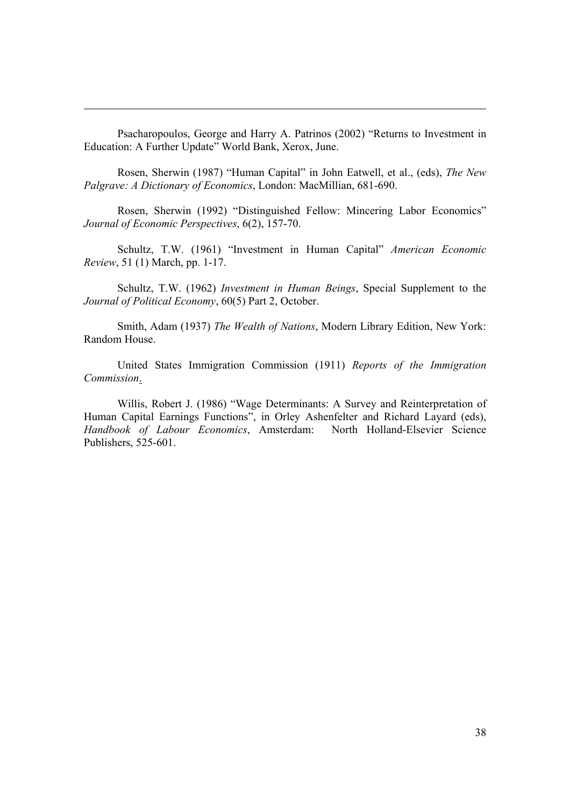Psacharopoulos, George and Harry A. Patrinos (2002) "Returns to Investment in Education: A Further Update" World Bank, Xerox, June.

Rosen, Sherwin (1987) "Human Capital" in John Eatwell, et al., (eds), *The New Palgrave: A Dictionary of Economics*, London: MacMillian, 681-690.

Rosen, Sherwin (1992) "Distinguished Fellow: Mincering Labor Economics" *Journal of Economic Perspectives*, 6(2), 157-70.

Schultz, T.W. (1961) "Investment in Human Capital" *American Economic Review*, 51 (1) March, pp. 1-17.

Schultz, T.W. (1962) *Investment in Human Beings*, Special Supplement to the *Journal of Political Economy*, 60(5) Part 2, October.

Smith, Adam (1937) *The Wealth of Nations*, Modern Library Edition, New York: Random House.

 United States Immigration Commission (1911) *Reports of the Immigration Commission*.

Willis, Robert J. (1986) "Wage Determinants: A Survey and Reinterpretation of Human Capital Earnings Functions", in Orley Ashenfelter and Richard Layard (eds), *Handbook of Labour Economics*, Amsterdam: North Holland-Elsevier Science Publishers, 525-601.